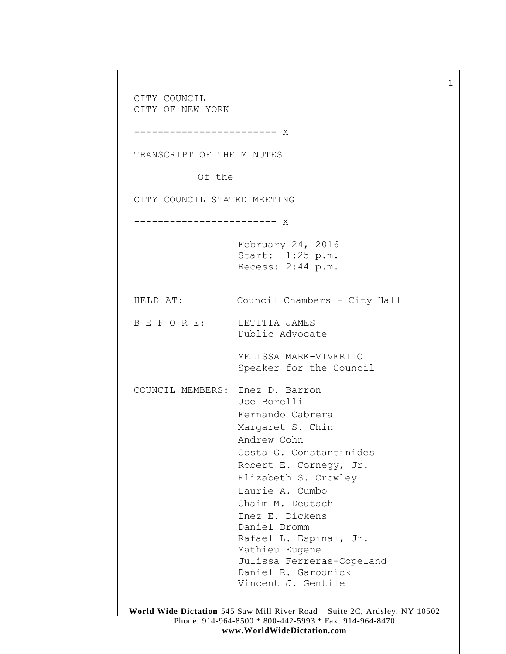CITY COUNCIL CITY OF NEW YORK ------------------------ X TRANSCRIPT OF THE MINUTES Of the CITY COUNCIL STATED MEETING ------------------------ X February 24, 2016 Start: 1:25 p.m. Recess: 2:44 p.m. HELD AT: Council Chambers - City Hall B E F O R E: LETITIA JAMES Public Advocate MELISSA MARK-VIVERITO Speaker for the Council COUNCIL MEMBERS: Inez D. Barron Joe Borelli Fernando Cabrera Margaret S. Chin Andrew Cohn Costa G. Constantinides Robert E. Cornegy, Jr. Elizabeth S. Crowley Laurie A. Cumbo Chaim M. Deutsch Inez E. Dickens Daniel Dromm Rafael L. Espinal, Jr. Mathieu Eugene Julissa Ferreras-Copeland Daniel R. Garodnick Vincent J. Gentile

1

**World Wide Dictation** 545 Saw Mill River Road – Suite 2C, Ardsley, NY 10502 Phone: 914-964-8500 \* 800-442-5993 \* Fax: 914-964-8470 **www.WorldWideDictation.com**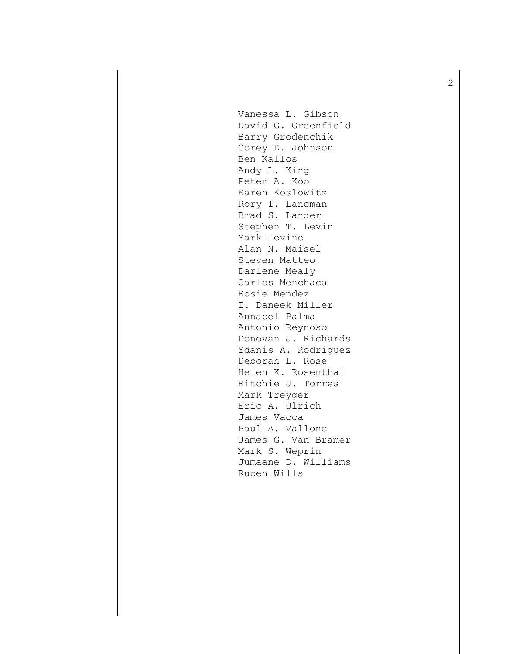Vanessa L. Gibson David G. Greenfield Barry Grodenchik Corey D. Johnson Ben Kallos Andy L. K ing Peter A. Koo Karen Koslowitz Rory I. Lancman Brad S. Lander Stephen T. Levin Mark Levine Alan N. Maisel Steven Matteo Darlene Mealy Carlos Menchaca Rosie Mendez I. Daneek Miller Annabel Palma Antonio Reynoso Donovan J. Richards Ydanis A. Rodriguez Deborah L. Rose Helen K. Rosenthal Ritchie J. Torres Mark Treyger Eric A. Ulrich James Vacca Paul A. Vallone James G. Van Bramer Mark S. Weprin Jumaane D. Williams Ruben Wills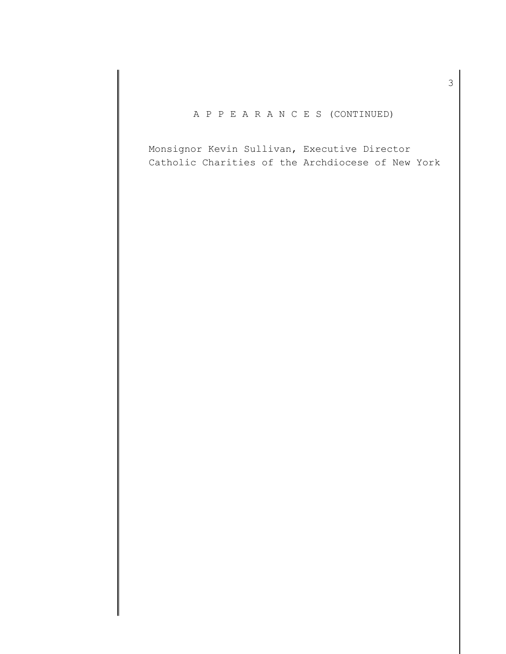A P P E A R A N C E S (CONTINUED)

Monsignor Kevin Sullivan, Executive Director Catholic Charities of the Archdiocese of New York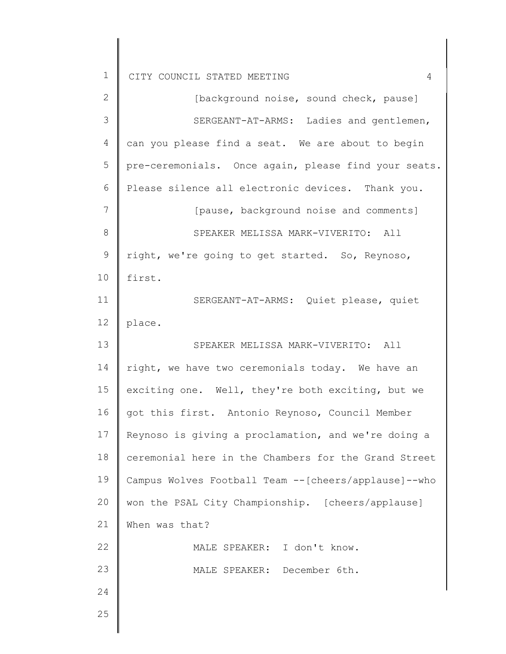2 3 4 5 6 7 8 9 10 11 12 13 14 15 16 17 18 19 20 21 22 23 24 25 can you please find a seat. We are about to begin [background noise, sound check, pause] SERGEANT-AT-ARMS: Ladies and gentlemen, pre-ceremonials. Once again, please find your seats. Please silence all electronic devices. Thank you. [pause, background noise and comments] SPEAKER MELISSA MARK-VIVERITO: All right, we're going to get started. So, Reynoso, first. SERGEANT-AT-ARMS: Quiet please, quiet place. SPEAKER MELISSA MARK-VIVERITO: All right, we have two ceremonials today. We have an exciting one. Well, they're both exciting, but we got this first. Antonio Reynoso, Council Member Reynoso is giving a proclamation, and we're doing a ceremonial here in the Chambers for the Grand Street Campus Wolves Football Team --[cheers/applause]--who won the PSAL City Championship. [cheers/applause] When was that? MALE SPEAKER: I don't know. MALE SPEAKER: December 6th.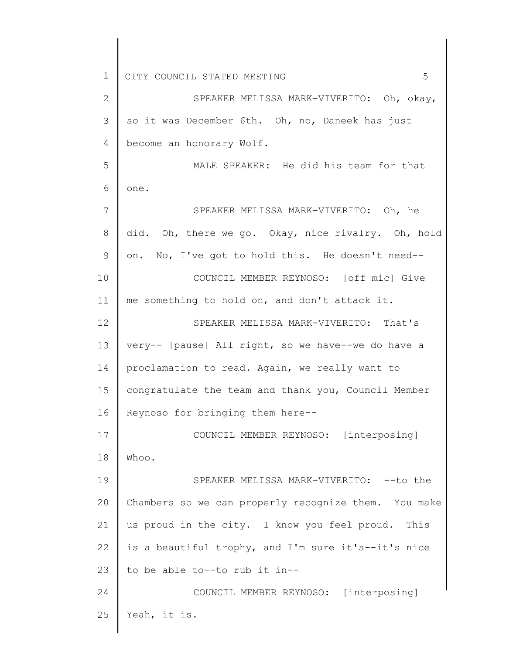1 2 3 4 5 6 7 8 9 10 11 12 13 14 15 16 17 18 19 20 21 22 23 24 25 CITY COUNCIL STATED MEETING 5 SPEAKER MELISSA MARK-VIVERITO: Oh, okay, so it was December 6th. Oh, no, Daneek has just become an honorary Wolf. MALE SPEAKER: He did his team for that one. SPEAKER MELISSA MARK-VIVERITO: Oh, he did. Oh, there we go. Okay, nice rivalry. Oh, hold on. No, I've got to hold this. He doesn't need-- COUNCIL MEMBER REYNOSO: [off mic] Give me something to hold on, and don't attack it. SPEAKER MELISSA MARK-VIVERITO: That's very-- [pause] All right, so we have--we do have a proclamation to read. Again, we really want to congratulate the team and thank you, Council Member Reynoso for bringing them here-- COUNCIL MEMBER REYNOSO: [interposing] Whoo. SPEAKER MELISSA MARK-VIVERITO: -- to the Chambers so we can properly recognize them. You make us proud in the city. I know you feel proud. This is a beautiful trophy, and I'm sure it's--it's nice to be able to--to rub it in-- COUNCIL MEMBER REYNOSO: [interposing] Yeah, it is.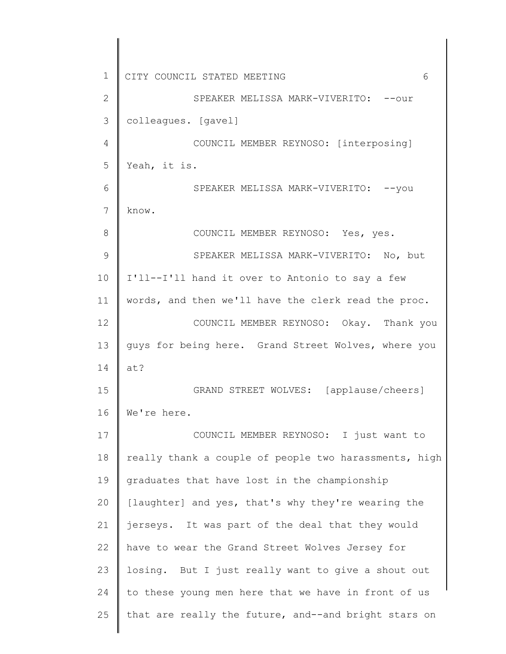1 2 3 4 5 6 7 8 9 10 11 12 13 14 15 16 17 18 19 20 21 22 23 24 25 CITY COUNCIL STATED MEETING 6 SPEAKER MELISSA MARK-VIVERITO: -- our colleagues. [gavel] COUNCIL MEMBER REYNOSO: [interposing] Yeah, it is. SPEAKER MELISSA MARK-VIVERITO: -- you know. COUNCIL MEMBER REYNOSO: Yes, yes. SPEAKER MELISSA MARK-VIVERITO: No, but I'll--I'll hand it over to Antonio to say a few words, and then we'll have the clerk read the proc. COUNCIL MEMBER REYNOSO: Okay. Thank you guys for being here. Grand Street Wolves, where you at? GRAND STREET WOLVES: [applause/cheers] We're here. COUNCIL MEMBER REYNOSO: I just want to really thank a couple of people two harassments, high graduates that have lost in the championship [laughter] and yes, that's why they're wearing the jerseys. It was part of the deal that they would have to wear the Grand Street Wolves Jersey for losing. But I just really want to give a shout out to these young men here that we have in front of us that are really the future, and--and bright stars on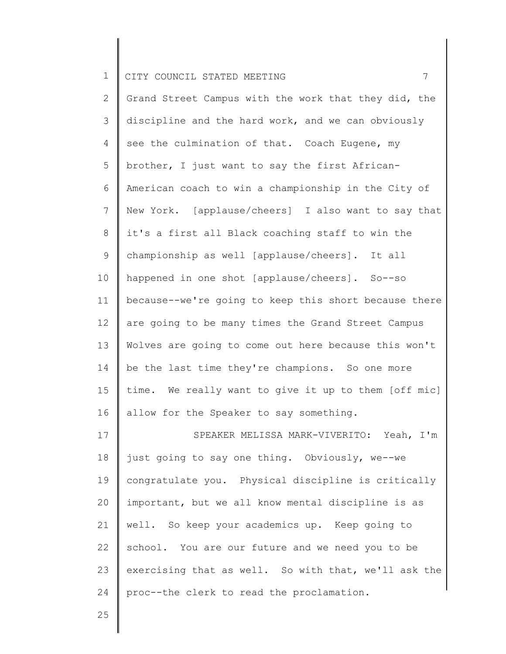2 3 4 5 6 7 8 9 10 11 12 13 14 15 16 Grand Street Campus with the work that they did, the discipline and the hard work, and we can obviously see the culmination of that. Coach Eugene, my brother, I just want to say the first African-American coach to win a championship in the City of New York. [applause/cheers] I also want to say that it's a first all Black coaching staff to win the championship as well [applause/cheers]. It all happened in one shot [applause/cheers]. So--so because--we're going to keep this short because there are going to be many times the Grand Street Campus Wolves are going to come out here because this won't be the last time they're champions. So one more time. We really want to give it up to them [off mic] allow for the Speaker to say something.

17 18 19 20 21 22 23 24 SPEAKER MELISSA MARK-VIVERITO: Yeah, I'm just going to say one thing. Obviously, we--we congratulate you. Physical discipline is critically important, but we all know mental discipline is as well. So keep your academics up. Keep going to school. You are our future and we need you to be exercising that as well. So with that, we'll ask the proc--the clerk to read the proclamation.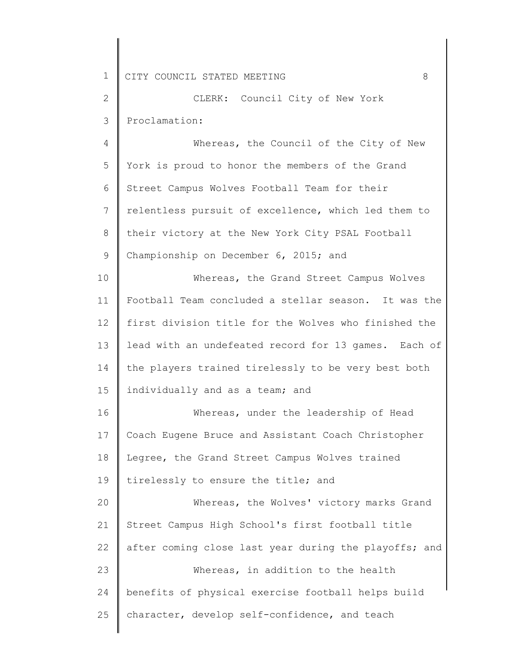2 3 CLERK: Council City of New York Proclamation:

4 5 6 7 8 9 Whereas, the Council of the City of New York is proud to honor the members of the Grand Street Campus Wolves Football Team for their relentless pursuit of excellence, which led them to their victory at the New York City PSAL Football Championship on December 6, 2015; and

10 11 12 13 14 15 Whereas, the Grand Street Campus Wolves Football Team concluded a stellar season. It was the first division title for the Wolves who finished the lead with an undefeated record for 13 games. Each of the players trained tirelessly to be very best both individually and as a team; and

16 17 18 19 20 21 22 23 24 Whereas, under the leadership of Head Coach Eugene Bruce and Assistant Coach Christopher Legree, the Grand Street Campus Wolves trained tirelessly to ensure the title; and Whereas, the Wolves' victory marks Grand Street Campus High School's first football title after coming close last year during the playoffs; and Whereas, in addition to the health benefits of physical exercise football helps build

character, develop self-confidence, and teach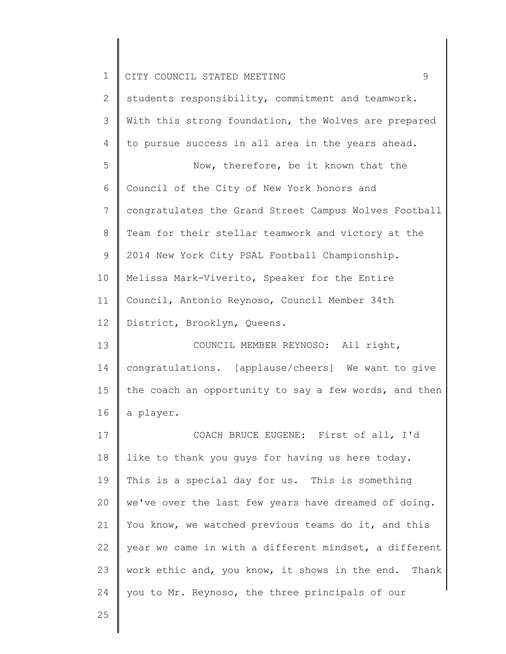| $\mathbf 1$ | CITY COUNCIL STATED MEETING<br>9                      |
|-------------|-------------------------------------------------------|
| 2           | students responsibility, commitment and teamwork.     |
| 3           | With this strong foundation, the Wolves are prepared  |
| 4           | to pursue success in all area in the years ahead.     |
| 5           | Now, therefore, be it known that the                  |
| 6           | Council of the City of New York honors and            |
| 7           | congratulates the Grand Street Campus Wolves Football |
| 8           | Team for their stellar teamwork and victory at the    |
| $\mathsf 9$ | 2014 New York City PSAL Football Championship.        |
| 10          | Melissa Mark-Viverito, Speaker for the Entire         |
| 11          | Council, Antonio Reynoso, Council Member 34th         |
| 12          | District, Brooklyn, Queens.                           |
| 13          | COUNCIL MEMBER REYNOSO: All right,                    |
| 14          | congratulations. [applause/cheers] We want to give    |
| 15          | the coach an opportunity to say a few words, and then |
| 16          | a player.                                             |
| 17          | COACH BRUCE EUGENE: First of all, I'd                 |
| 18          | like to thank you guys for having us here today.      |
| 19          | This is a special day for us. This is something       |
| 20          | we've over the last few years have dreamed of doing.  |
| 21          | You know, we watched previous teams do it, and this   |
| 22          | year we came in with a different mindset, a different |
| 23          | work ethic and, you know, it shows in the end. Thank  |
| 24          | you to Mr. Reynoso, the three principals of our       |
| 25          |                                                       |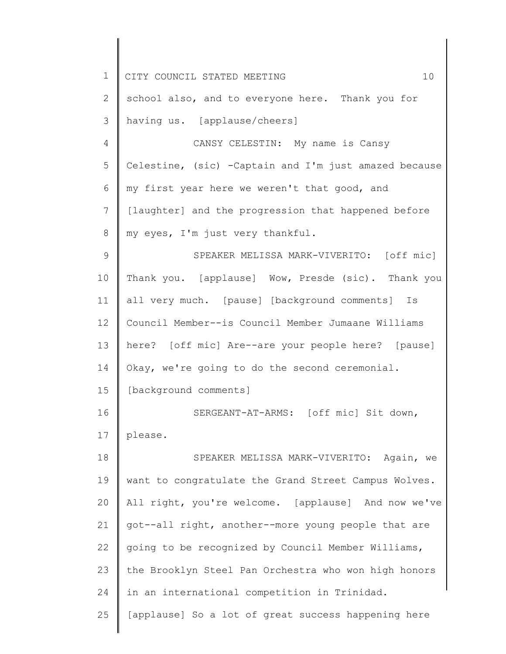| 1  | 10<br>CITY COUNCIL STATED MEETING                      |
|----|--------------------------------------------------------|
| 2  | school also, and to everyone here. Thank you for       |
| 3  | having us. [applause/cheers]                           |
| 4  | CANSY CELESTIN: My name is Cansy                       |
| 5  | Celestine, (sic) - Captain and I'm just amazed because |
| 6  | my first year here we weren't that good, and           |
| 7  | [laughter] and the progression that happened before    |
| 8  | my eyes, I'm just very thankful.                       |
| 9  | SPEAKER MELISSA MARK-VIVERITO: [off mic]               |
| 10 | Thank you. [applause] Wow, Presde (sic). Thank you     |
| 11 | all very much. [pause] [background comments] Is        |
| 12 | Council Member--is Council Member Jumaane Williams     |
| 13 | here? [off mic] Are--are your people here? [pause]     |
| 14 | Okay, we're going to do the second ceremonial.         |
| 15 | [background comments]                                  |
| 16 | SERGEANT-AT-ARMS: [off mic] Sit down,                  |
| 17 | please.                                                |
| 18 | SPEAKER MELISSA MARK-VIVERITO: Again, we               |
| 19 | want to congratulate the Grand Street Campus Wolves.   |
| 20 | All right, you're welcome. [applause] And now we've    |
| 21 | got--all right, another--more young people that are    |
| 22 | going to be recognized by Council Member Williams,     |
| 23 | the Brooklyn Steel Pan Orchestra who won high honors   |
| 24 | in an international competition in Trinidad.           |
| 25 | [applause] So a lot of great success happening here    |
|    |                                                        |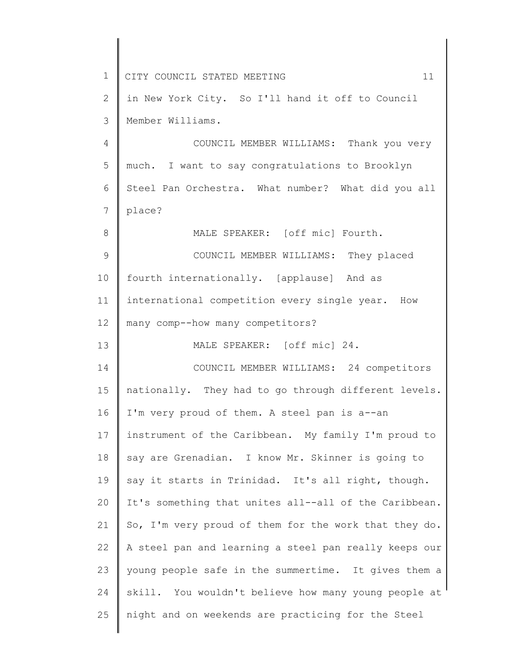| 1  | 11<br>CITY COUNCIL STATED MEETING                     |
|----|-------------------------------------------------------|
| 2  | in New York City. So I'll hand it off to Council      |
| 3  | Member Williams.                                      |
| 4  | COUNCIL MEMBER WILLIAMS: Thank you very               |
| 5  | much. I want to say congratulations to Brooklyn       |
| 6  | Steel Pan Orchestra. What number? What did you all    |
| 7  | place?                                                |
| 8  | MALE SPEAKER: [off mic] Fourth.                       |
| 9  | COUNCIL MEMBER WILLIAMS: They placed                  |
| 10 | fourth internationally. [applause] And as             |
| 11 | international competition every single year. How      |
| 12 | many comp--how many competitors?                      |
| 13 | MALE SPEAKER: [off mic] 24.                           |
| 14 | COUNCIL MEMBER WILLIAMS: 24 competitors               |
| 15 | nationally. They had to go through different levels.  |
| 16 | I'm very proud of them. A steel pan is a--an          |
| 17 | instrument of the Caribbean. My family I'm proud to   |
| 18 | say are Grenadian. I know Mr. Skinner is going to     |
| 19 | say it starts in Trinidad. It's all right, though.    |
| 20 | It's something that unites all--all of the Caribbean. |
| 21 | So, I'm very proud of them for the work that they do. |
| 22 | A steel pan and learning a steel pan really keeps our |
| 23 | young people safe in the summertime. It gives them a  |
| 24 | skill. You wouldn't believe how many young people at  |
| 25 | night and on weekends are practicing for the Steel    |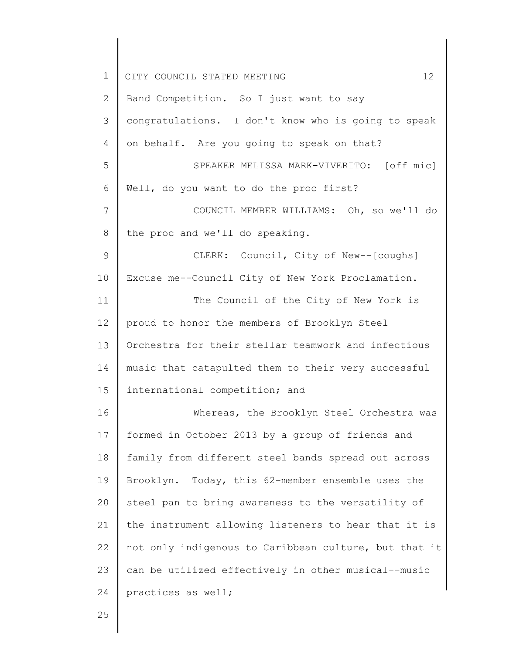| 1           | 12<br>CITY COUNCIL STATED MEETING                     |
|-------------|-------------------------------------------------------|
| 2           | Band Competition. So I just want to say               |
| 3           | congratulations. I don't know who is going to speak   |
| 4           | on behalf. Are you going to speak on that?            |
| 5           | SPEAKER MELISSA MARK-VIVERITO: [off mic]              |
| 6           | Well, do you want to do the proc first?               |
| 7           | COUNCIL MEMBER WILLIAMS: Oh, so we'll do              |
| 8           | the proc and we'll do speaking.                       |
| $\mathsf 9$ | CLERK: Council, City of New--[coughs]                 |
| 10          | Excuse me--Council City of New York Proclamation.     |
| 11          | The Council of the City of New York is                |
| 12          | proud to honor the members of Brooklyn Steel          |
| 13          | Orchestra for their stellar teamwork and infectious   |
| 14          | music that catapulted them to their very successful   |
| 15          | international competition; and                        |
| 16          | Whereas, the Brooklyn Steel Orchestra was             |
| 17          | formed in October 2013 by a group of friends and      |
| 18          | family from different steel bands spread out across   |
| 19          | Brooklyn. Today, this 62-member ensemble uses the     |
| 20          | steel pan to bring awareness to the versatility of    |
| 21          | the instrument allowing listeners to hear that it is  |
| 22          | not only indigenous to Caribbean culture, but that it |
| 23          | can be utilized effectively in other musical--music   |
| 24          | practices as well;                                    |
| 25          |                                                       |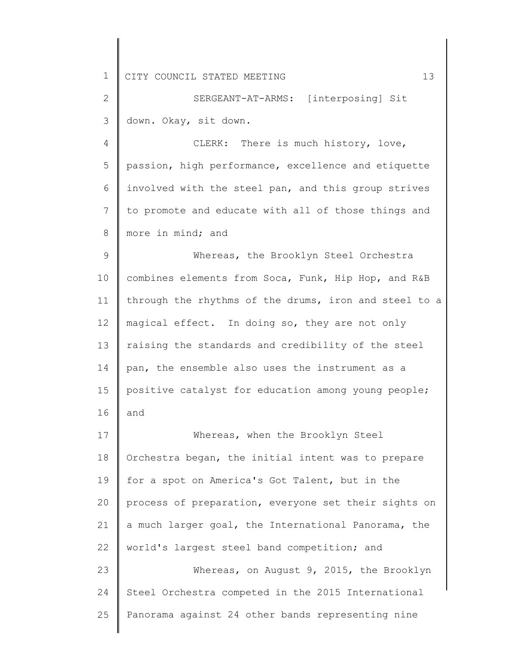2 3 SERGEANT-AT-ARMS: [interposing] Sit down. Okay, sit down.

4 5 6 7 8 CLERK: There is much history, love, passion, high performance, excellence and etiquette involved with the steel pan, and this group strives to promote and educate with all of those things and more in mind; and

9 10 11 12 13 14 15 16 Whereas, the Brooklyn Steel Orchestra combines elements from Soca, Funk, Hip Hop, and R&B through the rhythms of the drums, iron and steel to a magical effect. In doing so, they are not only raising the standards and credibility of the steel pan, the ensemble also uses the instrument as a positive catalyst for education among young people; and

17 18 19 20 21 22 23 24 25 Whereas, when the Brooklyn Steel Orchestra began, the initial intent was to prepare for a spot on America's Got Talent, but in the process of preparation, everyone set their sights on a much larger goal, the International Panorama, the world's largest steel band competition; and Whereas, on August 9, 2015, the Brooklyn Steel Orchestra competed in the 2015 International Panorama against 24 other bands representing nine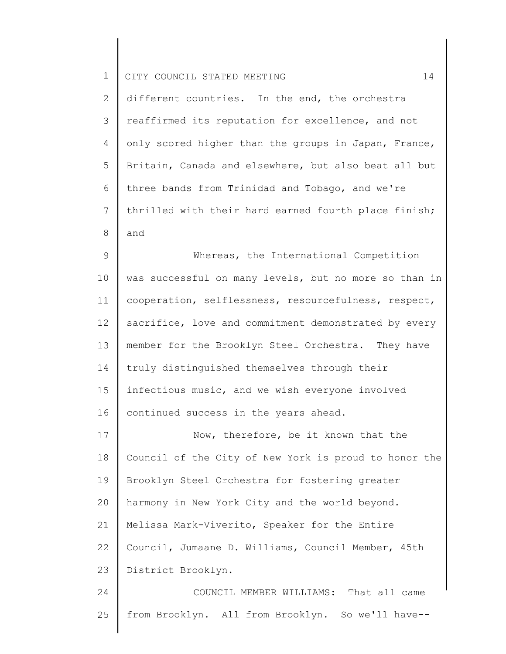| ᅩ |  | CITY COUNCIL STATED MEETING |  |  |  |
|---|--|-----------------------------|--|--|--|
|---|--|-----------------------------|--|--|--|

2 3 4 5 6 7 8 different countries. In the end, the orchestra reaffirmed its reputation for excellence, and not only scored higher than the groups in Japan, France, Britain, Canada and elsewhere, but also beat all but three bands from Trinidad and Tobago, and we're thrilled with their hard earned fourth place finish; and

9 10 11 12 13 14 15 16 Whereas, the International Competition was successful on many levels, but no more so than in cooperation, selflessness, resourcefulness, respect, sacrifice, love and commitment demonstrated by every member for the Brooklyn Steel Orchestra. They have truly distinguished themselves through their infectious music, and we wish everyone involved continued success in the years ahead.

17 18 19 20 21 22 23 Now, therefore, be it known that the Council of the City of New York is proud to honor the Brooklyn Steel Orchestra for fostering greater harmony in New York City and the world beyond. Melissa Mark-Viverito, Speaker for the Entire Council, Jumaane D. Williams, Council Member, 45th District Brooklyn.

24 25 COUNCIL MEMBER WILLIAMS: That all came from Brooklyn. All from Brooklyn. So we'll have--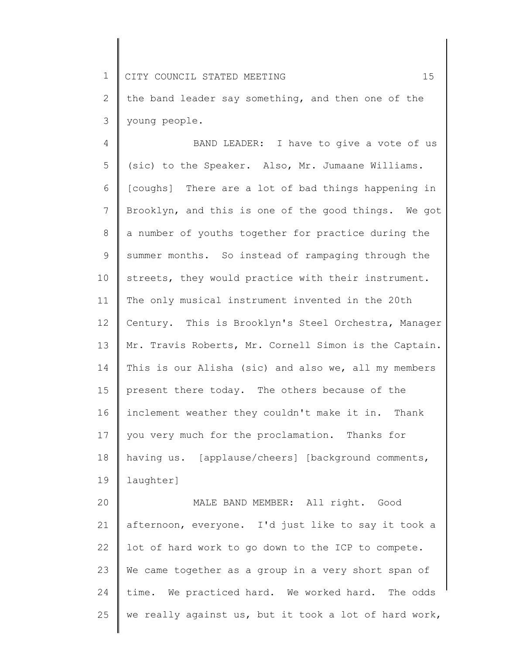2 3 the band leader say something, and then one of the young people.

4 5 6 7 8 9 10 11 12 13 14 15 16 17 18 19 BAND LEADER: I have to give a vote of us (sic) to the Speaker. Also, Mr. Jumaane Williams. [coughs] There are a lot of bad things happening in Brooklyn, and this is one of the good things. We got a number of youths together for practice during the summer months. So instead of rampaging through the streets, they would practice with their instrument. The only musical instrument invented in the 20th Century. This is Brooklyn's Steel Orchestra, Manager Mr. Travis Roberts, Mr. Cornell Simon is the Captain. This is our Alisha (sic) and also we, all my members present there today. The others because of the inclement weather they couldn't make it in. Thank you very much for the proclamation. Thanks for having us. [applause/cheers] [background comments, laughter]

20 21 22 23 24 25 MALE BAND MEMBER: All right. Good afternoon, everyone. I'd just like to say it took a lot of hard work to go down to the ICP to compete. We came together as a group in a very short span of time. We practiced hard. We worked hard. The odds we really against us, but it took a lot of hard work,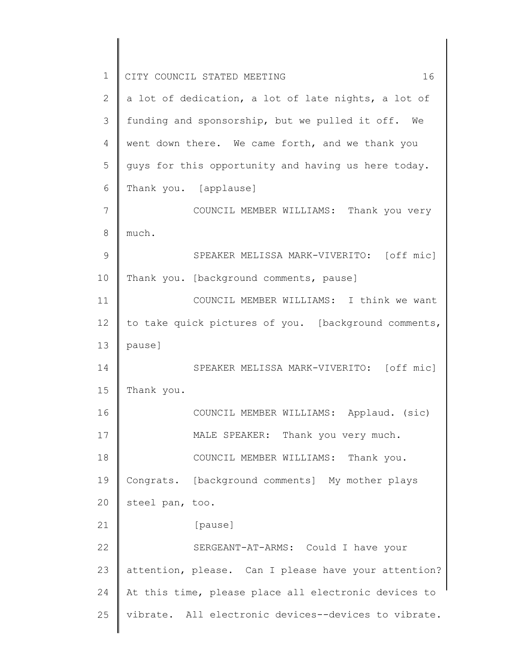| 1  | 16<br>CITY COUNCIL STATED MEETING                    |
|----|------------------------------------------------------|
| 2  | a lot of dedication, a lot of late nights, a lot of  |
| 3  | funding and sponsorship, but we pulled it off. We    |
| 4  | went down there. We came forth, and we thank you     |
| 5  | guys for this opportunity and having us here today.  |
| 6  | Thank you. [applause]                                |
| 7  | COUNCIL MEMBER WILLIAMS: Thank you very              |
| 8  | much.                                                |
| 9  | SPEAKER MELISSA MARK-VIVERITO: [off mic]             |
| 10 | Thank you. [background comments, pause]              |
| 11 | COUNCIL MEMBER WILLIAMS: I think we want             |
| 12 | to take quick pictures of you. [background comments, |
| 13 | pause]                                               |
| 14 | SPEAKER MELISSA MARK-VIVERITO: [off mic]             |
| 15 | Thank you.                                           |
| 16 | COUNCIL MEMBER WILLIAMS: Applaud. (sic)              |
| 17 | MALE SPEAKER: Thank you very much.                   |
| 18 | COUNCIL MEMBER WILLIAMS: Thank you.                  |
| 19 | Congrats. [background comments] My mother plays      |
| 20 | steel pan, too.                                      |
| 21 | [pause]                                              |
| 22 | SERGEANT-AT-ARMS: Could I have your                  |
| 23 | attention, please. Can I please have your attention? |
| 24 | At this time, please place all electronic devices to |
| 25 | vibrate. All electronic devices--devices to vibrate. |
|    |                                                      |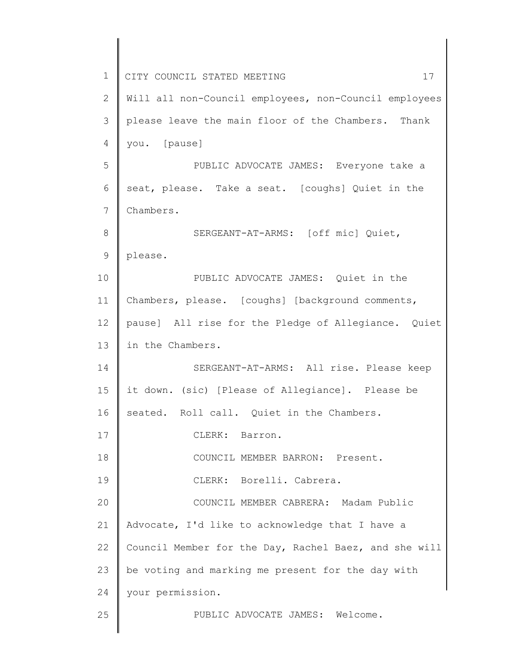| $\mathbf 1$     | 17<br>CITY COUNCIL STATED MEETING                     |
|-----------------|-------------------------------------------------------|
| $\overline{2}$  | Will all non-Council employees, non-Council employees |
| 3               | please leave the main floor of the Chambers. Thank    |
| $\overline{4}$  | you. [pause]                                          |
| 5               | PUBLIC ADVOCATE JAMES: Everyone take a                |
| 6               | seat, please. Take a seat. [coughs] Quiet in the      |
| 7               | Chambers.                                             |
| 8               | SERGEANT-AT-ARMS: [off mic] Quiet,                    |
| 9               | please.                                               |
| 10              | PUBLIC ADVOCATE JAMES: Quiet in the                   |
| 11              | Chambers, please. [coughs] [background comments,      |
| 12 <sup>°</sup> | pause] All rise for the Pledge of Allegiance. Quiet   |
| 13 <sup>°</sup> | in the Chambers.                                      |
| 14              | SERGEANT-AT-ARMS: All rise. Please keep               |
| 15 <sub>1</sub> | it down. (sic) [Please of Allegiance]. Please be      |
| 16              | seated. Roll call. Quiet in the Chambers.             |
| 17              | CLERK: Barron.                                        |
| 18              | COUNCIL MEMBER BARRON: Present.                       |
| 19              | CLERK: Borelli. Cabrera.                              |
| 20              | COUNCIL MEMBER CABRERA: Madam Public                  |
| 21              | Advocate, I'd like to acknowledge that I have a       |
| 22              | Council Member for the Day, Rachel Baez, and she will |
| 23              | be voting and marking me present for the day with     |
| 24              | your permission.                                      |
| 25              |                                                       |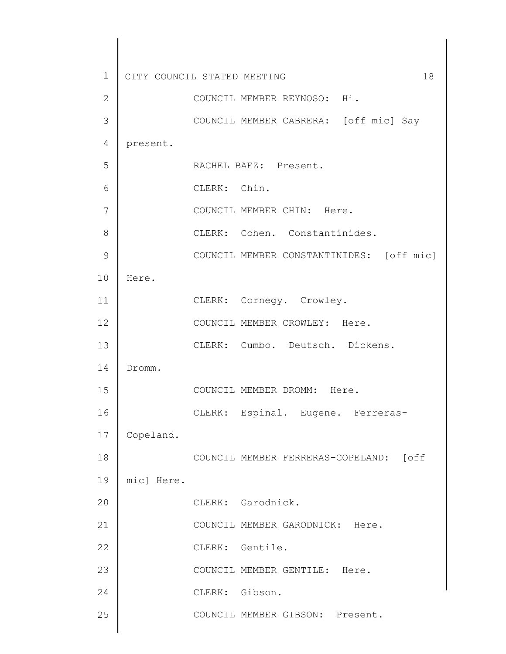| 1            | CITY COUNCIL STATED MEETING |                       |                                 |                                          | 18 |
|--------------|-----------------------------|-----------------------|---------------------------------|------------------------------------------|----|
| $\mathbf{2}$ |                             |                       | COUNCIL MEMBER REYNOSO: Hi.     |                                          |    |
| 3            |                             |                       |                                 | COUNCIL MEMBER CABRERA: [off mic] Say    |    |
| 4            | present.                    |                       |                                 |                                          |    |
| 5            |                             | RACHEL BAEZ: Present. |                                 |                                          |    |
| 6            |                             | CLERK: Chin.          |                                 |                                          |    |
| 7            |                             |                       | COUNCIL MEMBER CHIN: Here.      |                                          |    |
| 8            |                             |                       | CLERK: Cohen. Constantinides.   |                                          |    |
| 9            |                             |                       |                                 | COUNCIL MEMBER CONSTANTINIDES: [off mic] |    |
| 10           | Here.                       |                       |                                 |                                          |    |
| 11           |                             |                       | CLERK: Cornegy. Crowley.        |                                          |    |
| 12           |                             |                       | COUNCIL MEMBER CROWLEY: Here.   |                                          |    |
| 13           |                             |                       | CLERK: Cumbo. Deutsch. Dickens. |                                          |    |
| 14           | Dromm.                      |                       |                                 |                                          |    |
| 15           |                             |                       | COUNCIL MEMBER DROMM: Here.     |                                          |    |
| 16           |                             |                       |                                 | CLERK: Espinal. Eugene. Ferreras-        |    |
| 17           | Copeland.                   |                       |                                 |                                          |    |
| 18           |                             |                       |                                 | COUNCIL MEMBER FERRERAS-COPELAND: [off   |    |
| 19           | mic] Here.                  |                       |                                 |                                          |    |
| 20           |                             | CLERK: Garodnick.     |                                 |                                          |    |
| 21           |                             |                       | COUNCIL MEMBER GARODNICK: Here. |                                          |    |
| 22           |                             | CLERK: Gentile.       |                                 |                                          |    |
| 23           |                             |                       | COUNCIL MEMBER GENTILE: Here.   |                                          |    |
| 24           |                             | CLERK: Gibson.        |                                 |                                          |    |
| 25           |                             |                       | COUNCIL MEMBER GIBSON: Present. |                                          |    |
|              |                             |                       |                                 |                                          |    |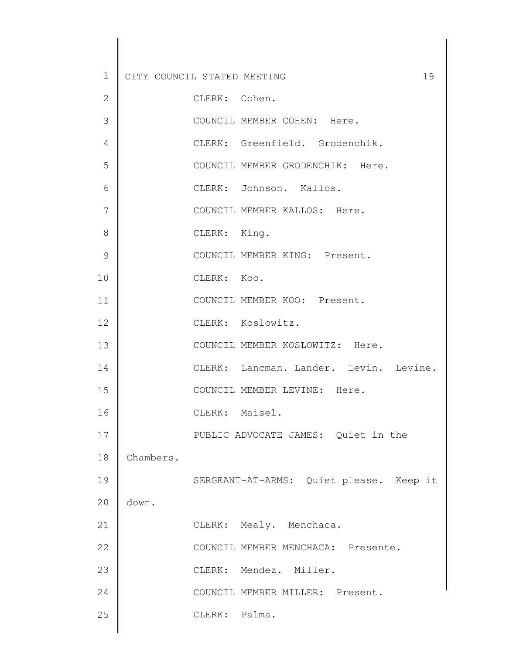| 1             |           | 19<br>CITY COUNCIL STATED MEETING       |  |
|---------------|-----------|-----------------------------------------|--|
| $\mathbf{2}$  |           | CLERK: Cohen.                           |  |
| 3             |           | COUNCIL MEMBER COHEN: Here.             |  |
| 4             |           | CLERK: Greenfield. Grodenchik.          |  |
| 5             |           | COUNCIL MEMBER GRODENCHIK: Here.        |  |
| 6             |           | CLERK: Johnson. Kallos.                 |  |
| 7             |           | COUNCIL MEMBER KALLOS: Here.            |  |
| 8             |           | CLERK: King.                            |  |
| $\mathcal{G}$ |           | COUNCIL MEMBER KING: Present.           |  |
| 10            |           | CLERK: Koo.                             |  |
| 11            |           | COUNCIL MEMBER KOO: Present.            |  |
| 12            |           | CLERK: Koslowitz.                       |  |
| 13            |           | COUNCIL MEMBER KOSLOWITZ: Here.         |  |
| 14            |           | CLERK: Lancman. Lander. Levin. Levine.  |  |
| 15            |           | COUNCIL MEMBER LEVINE: Here.            |  |
| 16            |           | CLERK: Maisel.                          |  |
| 17            |           | PUBLIC ADVOCATE JAMES: Quiet in the     |  |
| 18            | Chambers. |                                         |  |
| 19            |           | SERGEANT-AT-ARMS: Quiet please. Keep it |  |
| 20            | down.     |                                         |  |
| 21            |           | CLERK: Mealy. Menchaca.                 |  |
| 22            |           | COUNCIL MEMBER MENCHACA: Presente.      |  |
| 23            |           | CLERK: Mendez. Miller.                  |  |
| 24            |           | COUNCIL MEMBER MILLER: Present.         |  |
| 25            |           | CLERK: Palma.                           |  |
|               |           |                                         |  |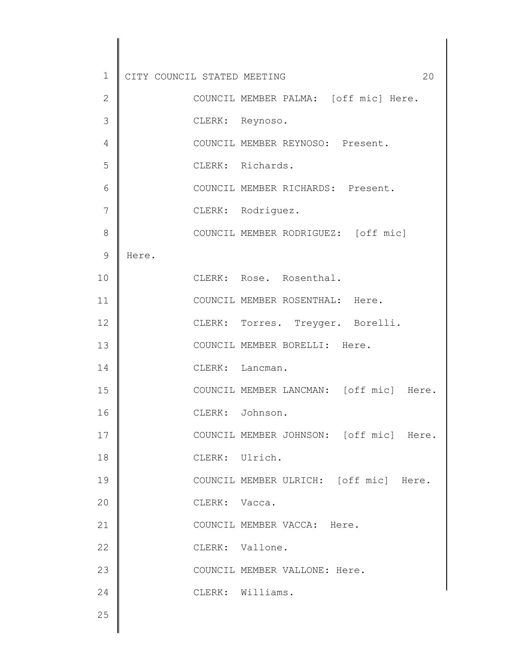| $\mathbf 1$   | CITY COUNCIL STATED MEETING<br>20       |
|---------------|-----------------------------------------|
| $\mathbf{2}$  | COUNCIL MEMBER PALMA: [off mic] Here.   |
| 3             | CLERK: Reynoso.                         |
| 4             | COUNCIL MEMBER REYNOSO: Present.        |
| 5             | CLERK: Richards.                        |
| 6             | COUNCIL MEMBER RICHARDS: Present.       |
| 7             | CLERK: Rodriguez.                       |
| 8             | COUNCIL MEMBER RODRIGUEZ: [off mic]     |
| $\mathcal{G}$ | Here.                                   |
| 10            | CLERK: Rose. Rosenthal.                 |
| 11            | COUNCIL MEMBER ROSENTHAL: Here.         |
| 12            | CLERK: Torres. Treyger. Borelli.        |
| 13            | COUNCIL MEMBER BORELLI: Here.           |
| 14            | CLERK: Lancman.                         |
| 15            | COUNCIL MEMBER LANCMAN: [off mic] Here. |
| 16            | CLERK: Johnson.                         |
| 17            | COUNCIL MEMBER JOHNSON: [off mic] Here. |
| 18            | CLERK: Ulrich.                          |
| 19            | COUNCIL MEMBER ULRICH: [off mic] Here.  |
| 20            | CLERK: Vacca.                           |
| 21            | COUNCIL MEMBER VACCA: Here.             |
| 22            | CLERK: Vallone.                         |
| 23            | COUNCIL MEMBER VALLONE: Here.           |
| 24            | CLERK: Williams.                        |
| 25            |                                         |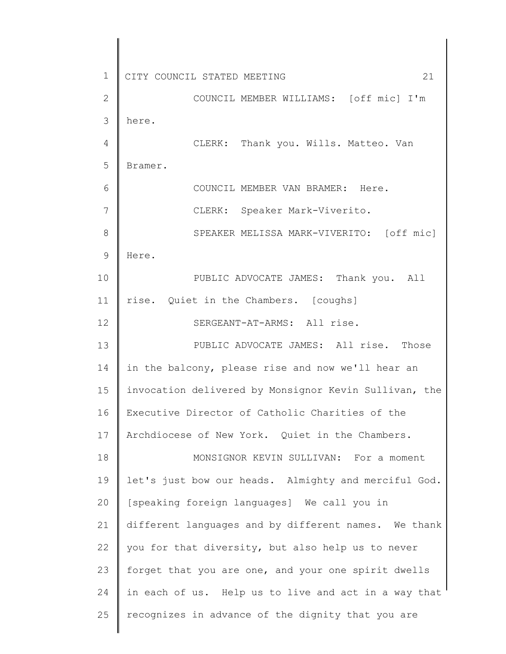1 2 3 4 5 6 7 8 9 10 11 12 13 14 15 16 17 18 19 20 21 22 23 24 25 CITY COUNCIL STATED MEETING 21 COUNCIL MEMBER WILLIAMS: [off mic] I'm here. CLERK: Thank you. Wills. Matteo. Van Bramer. COUNCIL MEMBER VAN BRAMER: Here. CLERK: Speaker Mark-Viverito. SPEAKER MELISSA MARK-VIVERITO: [off mic] Here. PUBLIC ADVOCATE JAMES: Thank you. All rise. Quiet in the Chambers. [coughs] SERGEANT-AT-ARMS: All rise. PUBLIC ADVOCATE JAMES: All rise. Those in the balcony, please rise and now we'll hear an invocation delivered by Monsignor Kevin Sullivan, the Executive Director of Catholic Charities of the Archdiocese of New York. Quiet in the Chambers. MONSIGNOR KEVIN SULLIVAN: For a moment let's just bow our heads. Almighty and merciful God. [speaking foreign languages] We call you in different languages and by different names. We thank you for that diversity, but also help us to never forget that you are one, and your one spirit dwells in each of us. Help us to live and act in a way that recognizes in advance of the dignity that you are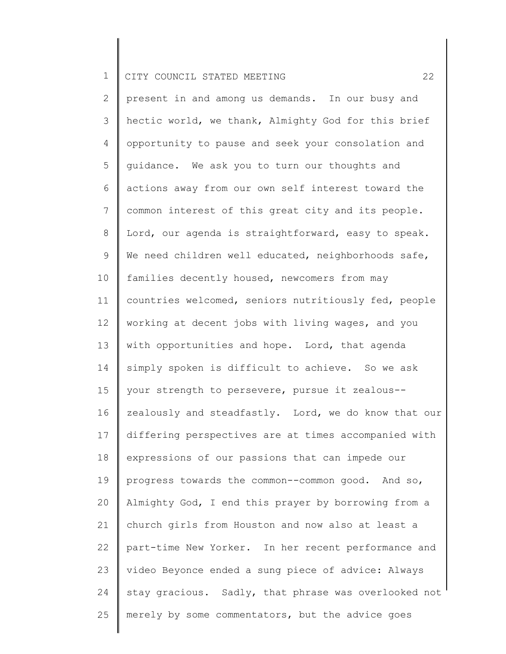2 3 4 5 6 7 8 9 10 11 12 13 14 15 16 17 18 19 20 21 22 23 24 25 present in and among us demands. In our busy and hectic world, we thank, Almighty God for this brief opportunity to pause and seek your consolation and guidance. We ask you to turn our thoughts and actions away from our own self interest toward the common interest of this great city and its people. Lord, our agenda is straightforward, easy to speak. We need children well educated, neighborhoods safe, families decently housed, newcomers from may countries welcomed, seniors nutritiously fed, people working at decent jobs with living wages, and you with opportunities and hope. Lord, that agenda simply spoken is difficult to achieve. So we ask your strength to persevere, pursue it zealous- zealously and steadfastly. Lord, we do know that our differing perspectives are at times accompanied with expressions of our passions that can impede our progress towards the common--common good. And so, Almighty God, I end this prayer by borrowing from a church girls from Houston and now also at least a part-time New Yorker. In her recent performance and video Beyonce ended a sung piece of advice: Always stay gracious. Sadly, that phrase was overlooked not merely by some commentators, but the advice goes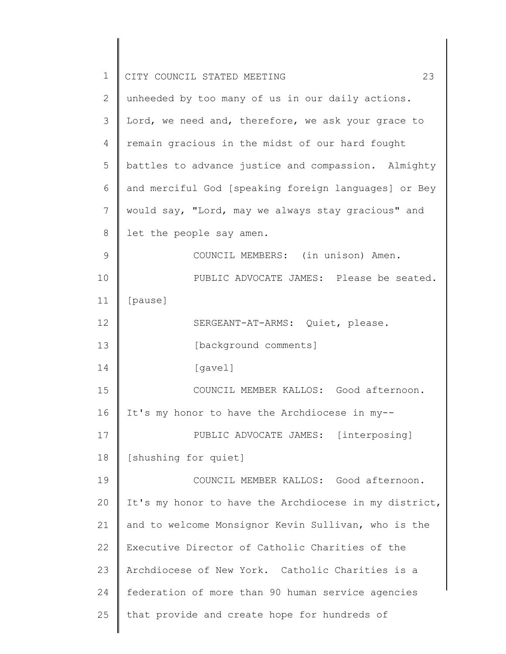| $\mathbf 1$ | CITY COUNCIL STATED MEETING<br>23                     |
|-------------|-------------------------------------------------------|
| 2           | unheeded by too many of us in our daily actions.      |
| 3           | Lord, we need and, therefore, we ask your grace to    |
| 4           | remain gracious in the midst of our hard fought       |
| 5           | battles to advance justice and compassion. Almighty   |
| 6           | and merciful God [speaking foreign languages] or Bey  |
| 7           | would say, "Lord, may we always stay gracious" and    |
| 8           | let the people say amen.                              |
| 9           | COUNCIL MEMBERS: (in unison) Amen.                    |
| 10          | PUBLIC ADVOCATE JAMES: Please be seated.              |
| 11          | [pause]                                               |
| 12          | SERGEANT-AT-ARMS: Quiet, please.                      |
| 13          | [background comments]                                 |
| 14          | [gavel]                                               |
| 15          | COUNCIL MEMBER KALLOS: Good afternoon.                |
| 16          | It's my honor to have the Archdiocese in my--         |
| 17          | PUBLIC ADVOCATE JAMES: [interposing]                  |
| 18          | [shushing for quiet]                                  |
| 19          | COUNCIL MEMBER KALLOS: Good afternoon.                |
| 20          | It's my honor to have the Archdiocese in my district, |
| 21          | and to welcome Monsignor Kevin Sullivan, who is the   |
| 22          | Executive Director of Catholic Charities of the       |
| 23          | Archdiocese of New York. Catholic Charities is a      |
| 24          | federation of more than 90 human service agencies     |
| 25          | that provide and create hope for hundreds of          |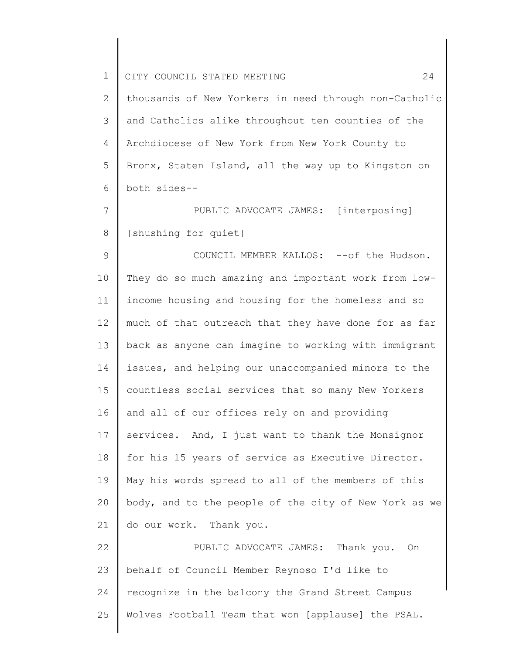1 2 3 4 5 6 7 8 9 10 11 12 13 14 15 16 17 18 19 20 21 22 23 24 25 CITY COUNCIL STATED MEETING 24 thousands of New Yorkers in need through non-Catholic and Catholics alike throughout ten counties of the Archdiocese of New York from New York County to Bronx, Staten Island, all the way up to Kingston on both sides-- PUBLIC ADVOCATE JAMES: [interposing] [shushing for quiet] COUNCIL MEMBER KALLOS: -- of the Hudson. They do so much amazing and important work from lowincome housing and housing for the homeless and so much of that outreach that they have done for as far back as anyone can imagine to working with immigrant issues, and helping our unaccompanied minors to the countless social services that so many New Yorkers and all of our offices rely on and providing services. And, I just want to thank the Monsignor for his 15 years of service as Executive Director. May his words spread to all of the members of this body, and to the people of the city of New York as we do our work. Thank you. PUBLIC ADVOCATE JAMES: Thank you. On behalf of Council Member Reynoso I'd like to recognize in the balcony the Grand Street Campus Wolves Football Team that won [applause] the PSAL.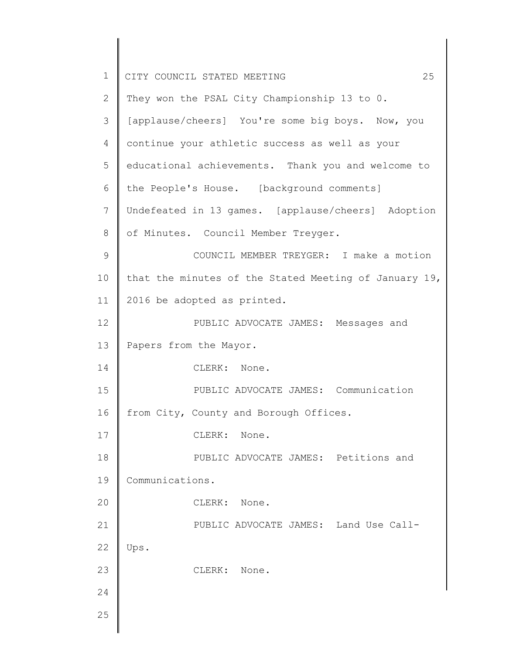| $\mathbf 1$ | 25<br>CITY COUNCIL STATED MEETING                        |
|-------------|----------------------------------------------------------|
| 2           | They won the PSAL City Championship 13 to 0.             |
| 3           | [applause/cheers] You're some big boys. Now, you         |
| 4           | continue your athletic success as well as your           |
| 5           | educational achievements. Thank you and welcome to       |
| 6           | the People's House. [background comments]                |
| 7           | Undefeated in 13 games. [applause/cheers] Adoption       |
| 8           | of Minutes. Council Member Treyger.                      |
| 9           | COUNCIL MEMBER TREYGER: I make a motion                  |
| 10          | that the minutes of the Stated Meeting of January $19$ , |
| 11          | 2016 be adopted as printed.                              |
| 12          | PUBLIC ADVOCATE JAMES: Messages and                      |
| 13          | Papers from the Mayor.                                   |
| 14          | CLERK: None.                                             |
| 15          | PUBLIC ADVOCATE JAMES: Communication                     |
| 16          | from City, County and Borough Offices.                   |
| 17          | CLERK:<br>None.                                          |
| 18          | PUBLIC ADVOCATE JAMES: Petitions and                     |
| 19          | Communications.                                          |
| 20          | CLERK: None.                                             |
| 21          | PUBLIC ADVOCATE JAMES: Land Use Call-                    |
| 22          | Ups.                                                     |
| 23          | CLERK:<br>None.                                          |
| 24          |                                                          |
| 25          |                                                          |
|             |                                                          |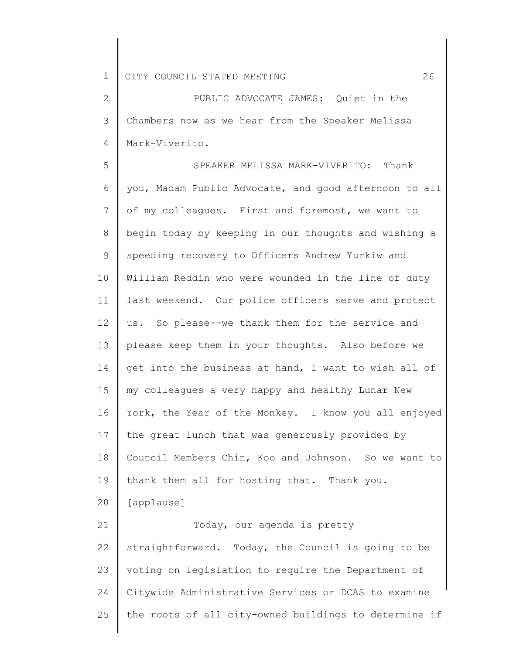25

2 3 4 PUBLIC ADVOCATE JAMES: Quiet in the Chambers now as we hear from the Speaker Melissa Mark-Viverito.

5 6 7 8 9 10 11 12 13 14 15 16 17 18 19 20 21 22 23 24 SPEAKER MELISSA MARK-VIVERITO: Thank you, Madam Public Advocate, and good afternoon to all of my colleagues. First and foremost, we want to begin today by keeping in our thoughts and wishing a speeding recovery to Officers Andrew Yurkiw and William Reddin who were wounded in the line of duty last weekend. Our police officers serve and protect us. So please--we thank them for the service and please keep them in your thoughts. Also before we get into the business at hand, I want to wish all of my colleagues a very happy and healthy Lunar New York, the Year of the Monkey. I know you all enjoyed the great lunch that was generously provided by Council Members Chin, Koo and Johnson. So we want to thank them all for hosting that. Thank you. [applause] Today, our agenda is pretty straightforward. Today, the Council is going to be voting on legislation to require the Department of Citywide Administrative Services or DCAS to examine

the roots of all city-owned buildings to determine if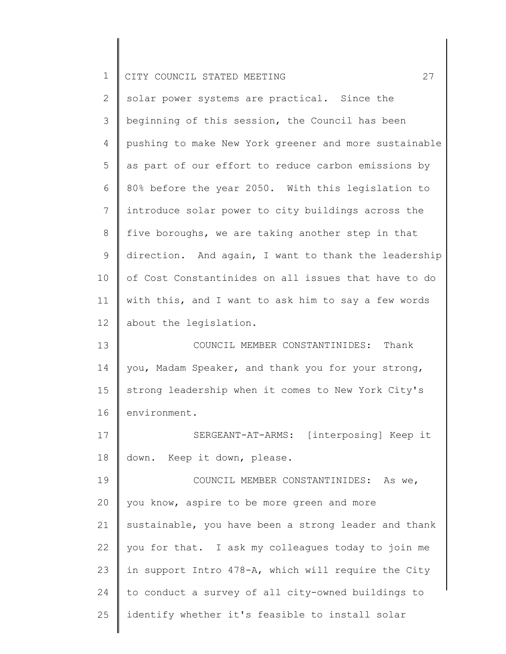| ᅩ |  | CITY COUNCIL STATED MEETING |  |  |  |  |  |
|---|--|-----------------------------|--|--|--|--|--|
|---|--|-----------------------------|--|--|--|--|--|

| $\overline{2}$ | solar power systems are practical. Since the          |  |  |  |  |  |  |
|----------------|-------------------------------------------------------|--|--|--|--|--|--|
| 3              | beginning of this session, the Council has been       |  |  |  |  |  |  |
| 4              | pushing to make New York greener and more sustainable |  |  |  |  |  |  |
| 5              | as part of our effort to reduce carbon emissions by   |  |  |  |  |  |  |
| 6              | 80% before the year 2050. With this legislation to    |  |  |  |  |  |  |
| 7              | introduce solar power to city buildings across the    |  |  |  |  |  |  |
| 8              | five boroughs, we are taking another step in that     |  |  |  |  |  |  |
| $\mathcal{G}$  | direction. And again, I want to thank the leadership  |  |  |  |  |  |  |
| 10             | of Cost Constantinides on all issues that have to do  |  |  |  |  |  |  |
| 11             | with this, and I want to ask him to say a few words   |  |  |  |  |  |  |
| 12             | about the legislation.                                |  |  |  |  |  |  |
| 13             | COUNCIL MEMBER CONSTANTINIDES: Thank                  |  |  |  |  |  |  |
| 14             | you, Madam Speaker, and thank you for your strong,    |  |  |  |  |  |  |
| 15             | strong leadership when it comes to New York City's    |  |  |  |  |  |  |
| 16             | environment.                                          |  |  |  |  |  |  |
| 17             | SERGEANT-AT-ARMS: [interposing] Keep it               |  |  |  |  |  |  |
| 18             | down. Keep it down, please.                           |  |  |  |  |  |  |

19 20 21 22 23 24 25 COUNCIL MEMBER CONSTANTINIDES: As we, you know, aspire to be more green and more sustainable, you have been a strong leader and thank you for that. I ask my colleagues today to join me in support Intro 478-A, which will require the City to conduct a survey of all city-owned buildings to identify whether it's feasible to install solar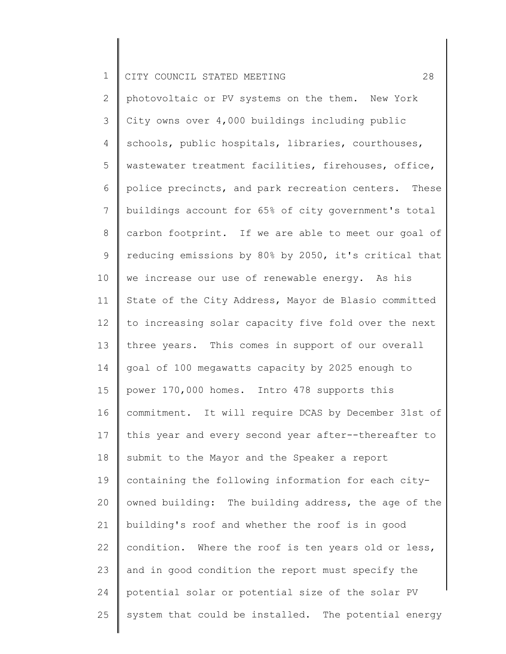2 3 4 5 6 7 8 9 10 11 12 13 14 15 16 17 18 19 20 21 22 23 24 25 photovoltaic or PV systems on the them. New York City owns over 4,000 buildings including public schools, public hospitals, libraries, courthouses, wastewater treatment facilities, firehouses, office, police precincts, and park recreation centers. These buildings account for 65% of city government's total carbon footprint. If we are able to meet our goal of reducing emissions by 80% by 2050, it's critical that we increase our use of renewable energy. As his State of the City Address, Mayor de Blasio committed to increasing solar capacity five fold over the next three years. This comes in support of our overall goal of 100 megawatts capacity by 2025 enough to power 170,000 homes. Intro 478 supports this commitment. It will require DCAS by December 31st of this year and every second year after--thereafter to submit to the Mayor and the Speaker a report containing the following information for each cityowned building: The building address, the age of the building's roof and whether the roof is in good condition. Where the roof is ten years old or less, and in good condition the report must specify the potential solar or potential size of the solar PV system that could be installed. The potential energy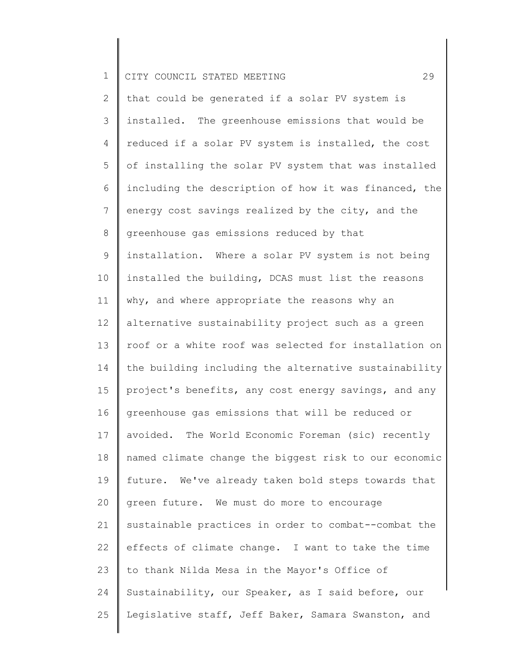2 3 4 5 6 7 8 9 10 11 12 13 14 15 16 17 18 19 20 21 22 23 24 25 that could be generated if a solar PV system is installed. The greenhouse emissions that would be reduced if a solar PV system is installed, the cost of installing the solar PV system that was installed including the description of how it was financed, the energy cost savings realized by the city, and the greenhouse gas emissions reduced by that installation. Where a solar PV system is not being installed the building, DCAS must list the reasons why, and where appropriate the reasons why an alternative sustainability project such as a green roof or a white roof was selected for installation on the building including the alternative sustainability project's benefits, any cost energy savings, and any greenhouse gas emissions that will be reduced or avoided. The World Economic Foreman (sic) recently named climate change the biggest risk to our economic future. We've already taken bold steps towards that green future. We must do more to encourage sustainable practices in order to combat--combat the effects of climate change. I want to take the time to thank Nilda Mesa in the Mayor's Office of Sustainability, our Speaker, as I said before, our Legislative staff, Jeff Baker, Samara Swanston, and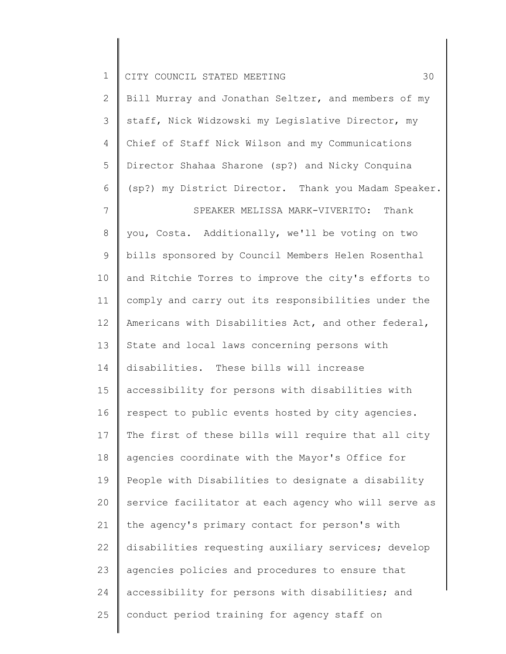| $\mathbf 1$  | 30<br>CITY COUNCIL STATED MEETING                    |
|--------------|------------------------------------------------------|
| $\mathbf{2}$ | Bill Murray and Jonathan Seltzer, and members of my  |
| 3            | staff, Nick Widzowski my Legislative Director, my    |
| 4            | Chief of Staff Nick Wilson and my Communications     |
| 5            | Director Shahaa Sharone (sp?) and Nicky Conquina     |
| 6            | (sp?) my District Director. Thank you Madam Speaker. |
| 7            | SPEAKER MELISSA MARK-VIVERITO: Thank                 |
| $8\,$        | you, Costa. Additionally, we'll be voting on two     |
| 9            | bills sponsored by Council Members Helen Rosenthal   |
| 10           | and Ritchie Torres to improve the city's efforts to  |
| 11           | comply and carry out its responsibilities under the  |
| 12           | Americans with Disabilities Act, and other federal,  |
| 13           | State and local laws concerning persons with         |
| 14           | disabilities. These bills will increase              |
| 15           | accessibility for persons with disabilities with     |
| 16           | respect to public events hosted by city agencies.    |
| 17           | The first of these bills will require that all city  |
| 18           | agencies coordinate with the Mayor's Office for      |
| 19           | People with Disabilities to designate a disability   |
| 20           | service facilitator at each agency who will serve as |
| 21           | the agency's primary contact for person's with       |
| 22           | disabilities requesting auxiliary services; develop  |
| 23           | agencies policies and procedures to ensure that      |
| 24           | accessibility for persons with disabilities; and     |
| 25           | conduct period training for agency staff on          |
|              |                                                      |

║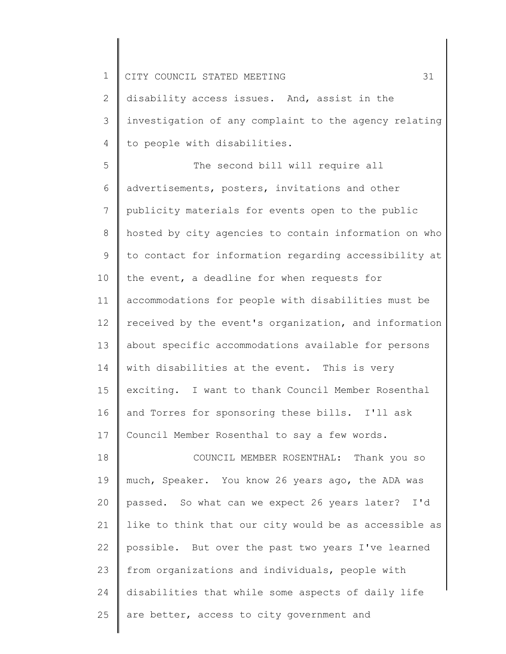2 3 4 disability access issues. And, assist in the investigation of any complaint to the agency relating to people with disabilities.

5 6 7 8 9 10 11 12 13 14 15 16 17 The second bill will require all advertisements, posters, invitations and other publicity materials for events open to the public hosted by city agencies to contain information on who to contact for information regarding accessibility at the event, a deadline for when requests for accommodations for people with disabilities must be received by the event's organization, and information about specific accommodations available for persons with disabilities at the event. This is very exciting. I want to thank Council Member Rosenthal and Torres for sponsoring these bills. I'll ask Council Member Rosenthal to say a few words.

18 19 20 21 22 23 24 25 COUNCIL MEMBER ROSENTHAL: Thank you so much, Speaker. You know 26 years ago, the ADA was passed. So what can we expect 26 years later? I'd like to think that our city would be as accessible as possible. But over the past two years I've learned from organizations and individuals, people with disabilities that while some aspects of daily life are better, access to city government and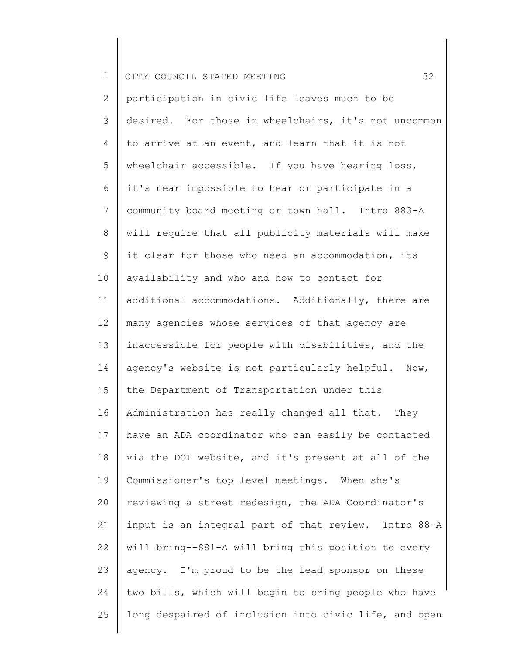2 3 4 5 6 7 8 9 10 11 12 13 14 15 16 17 18 19 20 21 22 23 24 25 participation in civic life leaves much to be desired. For those in wheelchairs, it's not uncommon to arrive at an event, and learn that it is not wheelchair accessible. If you have hearing loss, it's near impossible to hear or participate in a community board meeting or town hall. Intro 883-A will require that all publicity materials will make it clear for those who need an accommodation, its availability and who and how to contact for additional accommodations. Additionally, there are many agencies whose services of that agency are inaccessible for people with disabilities, and the agency's website is not particularly helpful. Now, the Department of Transportation under this Administration has really changed all that. They have an ADA coordinator who can easily be contacted via the DOT website, and it's present at all of the Commissioner's top level meetings. When she's reviewing a street redesign, the ADA Coordinator's input is an integral part of that review. Intro 88-A will bring--881-A will bring this position to every agency. I'm proud to be the lead sponsor on these two bills, which will begin to bring people who have long despaired of inclusion into civic life, and open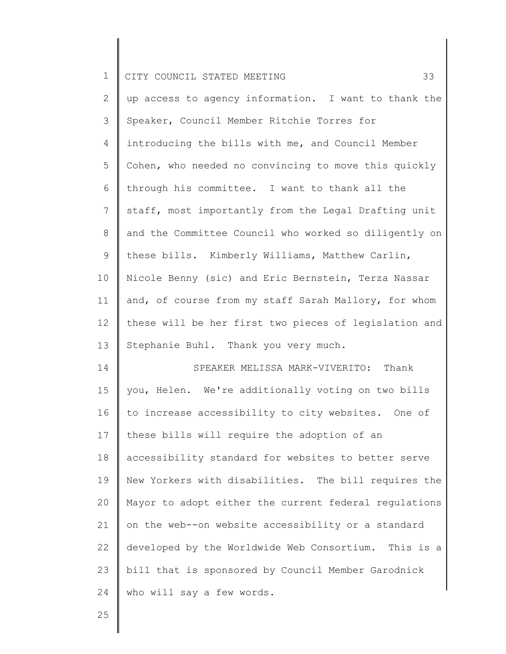| ᅩ |  | CITY COUNCIL STATED MEETING |  |  |  |  |  |
|---|--|-----------------------------|--|--|--|--|--|
|---|--|-----------------------------|--|--|--|--|--|

2 3 4 5 6 7 8 9 10 11 12 13 14 up access to agency information. I want to thank the Speaker, Council Member Ritchie Torres for introducing the bills with me, and Council Member Cohen, who needed no convincing to move this quickly through his committee. I want to thank all the staff, most importantly from the Legal Drafting unit and the Committee Council who worked so diligently on these bills. Kimberly Williams, Matthew Carlin, Nicole Benny (sic) and Eric Bernstein, Terza Nassar and, of course from my staff Sarah Mallory, for whom these will be her first two pieces of legislation and Stephanie Buhl. Thank you very much. SPEAKER MELISSA MARK-VIVERITO: Thank

15 16 17 18 19 20 21 22 23 24 you, Helen. We're additionally voting on two bills to increase accessibility to city websites. One of these bills will require the adoption of an accessibility standard for websites to better serve New Yorkers with disabilities. The bill requires the Mayor to adopt either the current federal regulations on the web--on website accessibility or a standard developed by the Worldwide Web Consortium. This is a bill that is sponsored by Council Member Garodnick who will say a few words.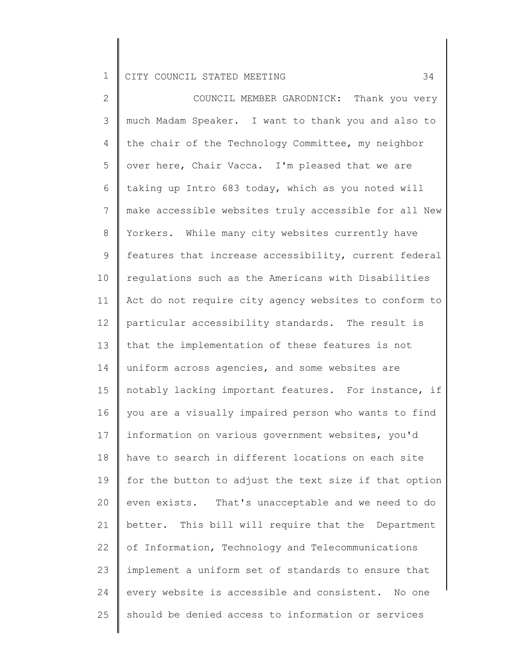2 3 4 5 6 7 8 9 10 11 12 13 14 15 16 17 18 19 20 21 22 23 24 25 COUNCIL MEMBER GARODNICK: Thank you very much Madam Speaker. I want to thank you and also to the chair of the Technology Committee, my neighbor over here, Chair Vacca. I'm pleased that we are taking up Intro 683 today, which as you noted will make accessible websites truly accessible for all New Yorkers. While many city websites currently have features that increase accessibility, current federal regulations such as the Americans with Disabilities Act do not require city agency websites to conform to particular accessibility standards. The result is that the implementation of these features is not uniform across agencies, and some websites are notably lacking important features. For instance, if you are a visually impaired person who wants to find information on various government websites, you'd have to search in different locations on each site for the button to adjust the text size if that option even exists. That's unacceptable and we need to do better. This bill will require that the Department of Information, Technology and Telecommunications implement a uniform set of standards to ensure that every website is accessible and consistent. No one should be denied access to information or services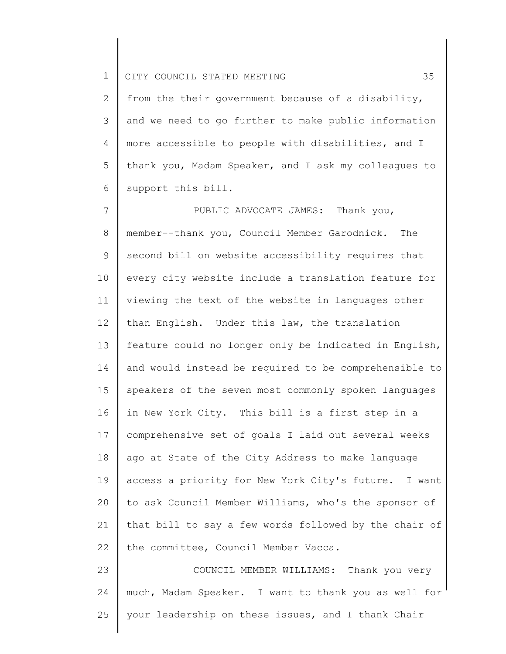2 3 4 5 6 from the their government because of a disability, and we need to go further to make public information more accessible to people with disabilities, and I thank you, Madam Speaker, and I ask my colleagues to support this bill.

7 8 9 10 11 12 13 14 15 16 17 18 19 20 21 22 23 PUBLIC ADVOCATE JAMES: Thank you, member--thank you, Council Member Garodnick. The second bill on website accessibility requires that every city website include a translation feature for viewing the text of the website in languages other than English. Under this law, the translation feature could no longer only be indicated in English, and would instead be required to be comprehensible to speakers of the seven most commonly spoken languages in New York City. This bill is a first step in a comprehensive set of goals I laid out several weeks ago at State of the City Address to make language access a priority for New York City's future. I want to ask Council Member Williams, who's the sponsor of that bill to say a few words followed by the chair of the committee, Council Member Vacca.

24 25 COUNCIL MEMBER WILLIAMS: Thank you very much, Madam Speaker. I want to thank you as well for your leadership on these issues, and I thank Chair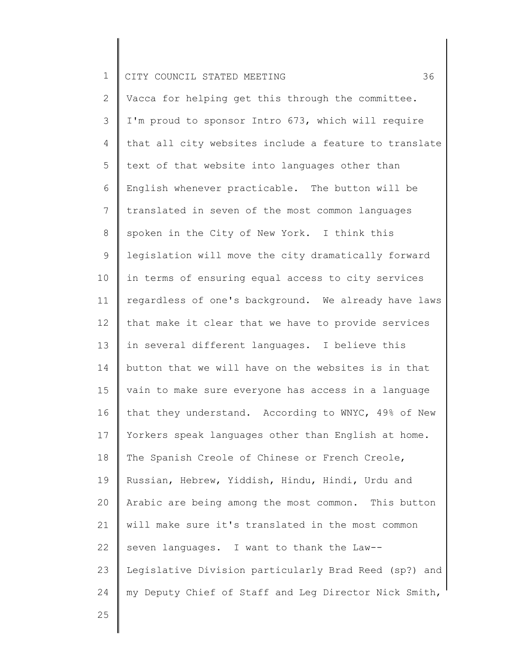2 3 4 5 6 7 8 9 10 11 12 13 14 15 16 17 18 19 20 21 22 23 24 Vacca for helping get this through the committee. I'm proud to sponsor Intro 673, which will require that all city websites include a feature to translate text of that website into languages other than English whenever practicable. The button will be translated in seven of the most common languages spoken in the City of New York. I think this legislation will move the city dramatically forward in terms of ensuring equal access to city services regardless of one's background. We already have laws that make it clear that we have to provide services in several different languages. I believe this button that we will have on the websites is in that vain to make sure everyone has access in a language that they understand. According to WNYC, 49% of New Yorkers speak languages other than English at home. The Spanish Creole of Chinese or French Creole, Russian, Hebrew, Yiddish, Hindu, Hindi, Urdu and Arabic are being among the most common. This button will make sure it's translated in the most common seven languages. I want to thank the Law-- Legislative Division particularly Brad Reed (sp?) and my Deputy Chief of Staff and Leg Director Nick Smith,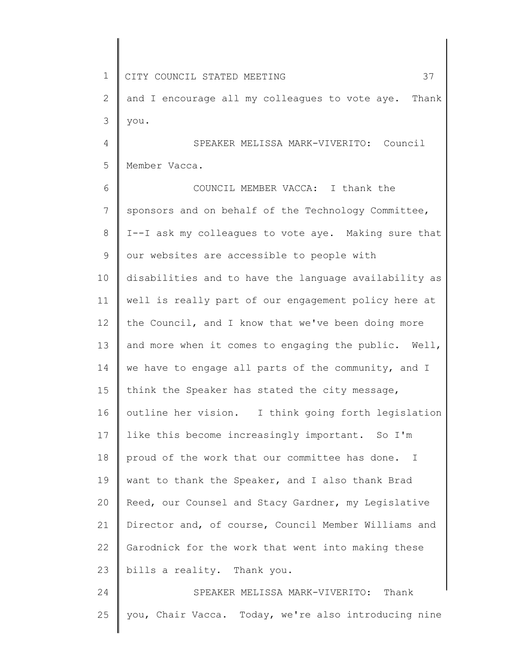1 2 3 4 5 6 7 8 9 10 11 12 13 14 15 16 17 18 19 20 21 22 23 24 25 CITY COUNCIL STATED MEETING 37 and I encourage all my colleagues to vote aye. Thank you. SPEAKER MELISSA MARK-VIVERITO: Council Member Vacca. COUNCIL MEMBER VACCA: I thank the sponsors and on behalf of the Technology Committee, I--I ask my colleagues to vote aye. Making sure that our websites are accessible to people with disabilities and to have the language availability as well is really part of our engagement policy here at the Council, and I know that we've been doing more and more when it comes to engaging the public. Well, we have to engage all parts of the community, and I think the Speaker has stated the city message, outline her vision. I think going forth legislation like this become increasingly important. So I'm proud of the work that our committee has done. I want to thank the Speaker, and I also thank Brad Reed, our Counsel and Stacy Gardner, my Legislative Director and, of course, Council Member Williams and Garodnick for the work that went into making these bills a reality. Thank you. SPEAKER MELISSA MARK-VIVERITO: Thank you, Chair Vacca. Today, we're also introducing nine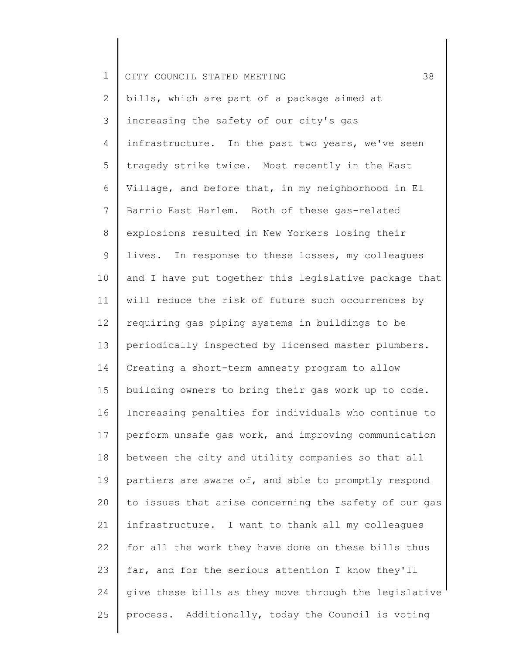| $\mathbf 1$  | CITY COUNCIL STATED MEETING<br>38                     |
|--------------|-------------------------------------------------------|
| $\mathbf{2}$ | bills, which are part of a package aimed at           |
| 3            | increasing the safety of our city's gas               |
| 4            | infrastructure. In the past two years, we've seen     |
| 5            | tragedy strike twice. Most recently in the East       |
| 6            | Village, and before that, in my neighborhood in El    |
| 7            | Barrio East Harlem. Both of these gas-related         |
| 8            | explosions resulted in New Yorkers losing their       |
| $\mathsf 9$  | lives. In response to these losses, my colleagues     |
| 10           | and I have put together this legislative package that |
| 11           | will reduce the risk of future such occurrences by    |
| 12           | requiring gas piping systems in buildings to be       |
| 13           | periodically inspected by licensed master plumbers.   |
| 14           | Creating a short-term amnesty program to allow        |
| 15           | building owners to bring their gas work up to code.   |
| 16           | Increasing penalties for individuals who continue to  |
| 17           | perform unsafe gas work, and improving communication  |
| 18           | between the city and utility companies so that all    |
| 19           | partiers are aware of, and able to promptly respond   |
| 20           | to issues that arise concerning the safety of our gas |
| 21           | infrastructure. I want to thank all my colleagues     |
| 22           | for all the work they have done on these bills thus   |
| 23           | far, and for the serious attention I know they'll     |
| 24           | give these bills as they move through the legislative |
| 25           | process. Additionally, today the Council is voting    |
|              |                                                       |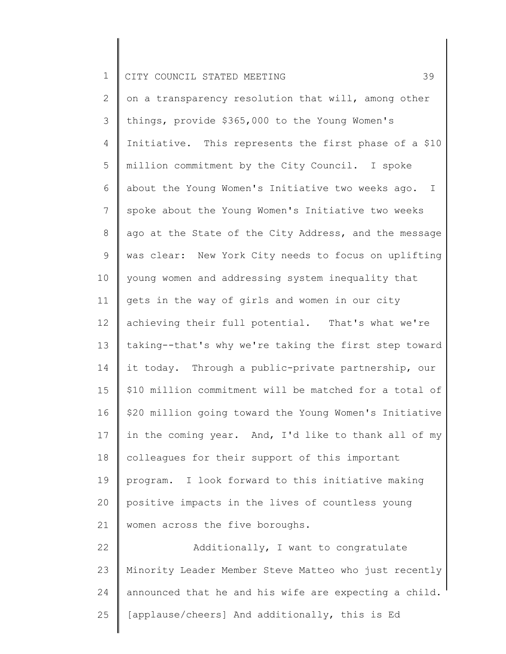|  |  | 1 CITY COUNCIL STATED MEETING |  |  |  |  |
|--|--|-------------------------------|--|--|--|--|
|--|--|-------------------------------|--|--|--|--|

24

25

2 3 4 5 6 7 8 9 10 11 12 13 14 15 16 17 18 19 20 21 22 23 on a transparency resolution that will, among other things, provide \$365,000 to the Young Women's Initiative. This represents the first phase of a \$10 million commitment by the City Council. I spoke about the Young Women's Initiative two weeks ago. I spoke about the Young Women's Initiative two weeks ago at the State of the City Address, and the message was clear: New York City needs to focus on uplifting young women and addressing system inequality that gets in the way of girls and women in our city achieving their full potential. That's what we're taking--that's why we're taking the first step toward it today. Through a public-private partnership, our \$10 million commitment will be matched for a total of \$20 million going toward the Young Women's Initiative in the coming year. And, I'd like to thank all of my colleagues for their support of this important program. I look forward to this initiative making positive impacts in the lives of countless young women across the five boroughs. Additionally, I want to congratulate Minority Leader Member Steve Matteo who just recently

announced that he and his wife are expecting a child.

[applause/cheers] And additionally, this is Ed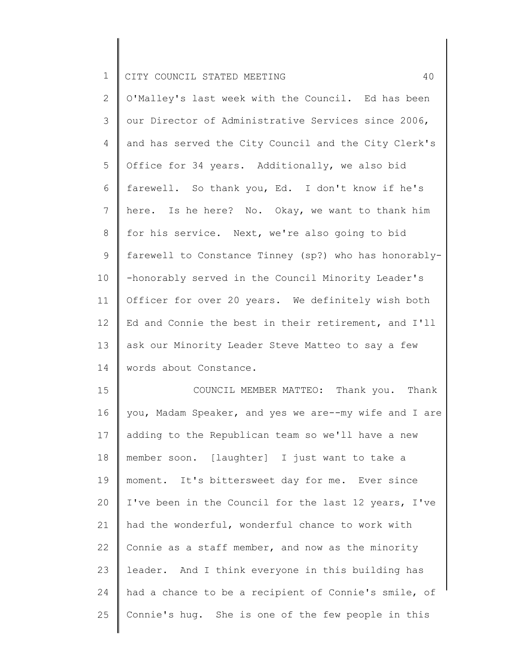|  |  | CITY COUNCIL STATED MEETING |  |  |  |  |
|--|--|-----------------------------|--|--|--|--|
|--|--|-----------------------------|--|--|--|--|

| 2              | O'Malley's last week with the Council. Ed has been    |
|----------------|-------------------------------------------------------|
| 3              | our Director of Administrative Services since 2006,   |
| $\overline{4}$ | and has served the City Council and the City Clerk's  |
| 5              | Office for 34 years. Additionally, we also bid        |
| 6              | farewell. So thank you, Ed. I don't know if he's      |
| $\overline{7}$ | here. Is he here? No. Okay, we want to thank him      |
| $8\,$          | for his service. Next, we're also going to bid        |
| $\mathcal{G}$  | farewell to Constance Tinney (sp?) who has honorably- |
| 10             | -honorably served in the Council Minority Leader's    |
| 11             | Officer for over 20 years. We definitely wish both    |
| 12             | Ed and Connie the best in their retirement, and I'll  |
| 13             | ask our Minority Leader Steve Matteo to say a few     |
| 14             | words about Constance.                                |

15 16 17 18 19 20 21 22 23 24 25 COUNCIL MEMBER MATTEO: Thank you. Thank you, Madam Speaker, and yes we are--my wife and I are adding to the Republican team so we'll have a new member soon. [laughter] I just want to take a moment. It's bittersweet day for me. Ever since I've been in the Council for the last 12 years, I've had the wonderful, wonderful chance to work with Connie as a staff member, and now as the minority leader. And I think everyone in this building has had a chance to be a recipient of Connie's smile, of Connie's hug. She is one of the few people in this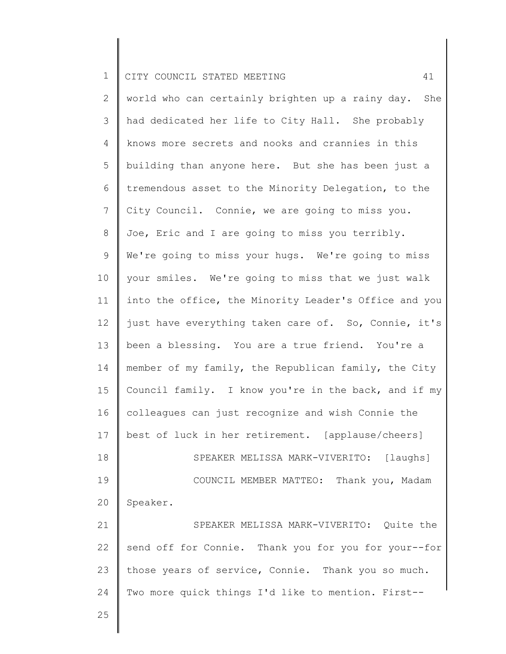|  |  | CITY COUNCIL STATED MEETING |  |  |  |  |  |
|--|--|-----------------------------|--|--|--|--|--|
|--|--|-----------------------------|--|--|--|--|--|

2 3 4 5 6 7 8 9 10 11 12 13 14 15 16 17 18 19 20 21 22 23 world who can certainly brighten up a rainy day. She had dedicated her life to City Hall. She probably knows more secrets and nooks and crannies in this building than anyone here. But she has been just a tremendous asset to the Minority Delegation, to the City Council. Connie, we are going to miss you. Joe, Eric and I are going to miss you terribly. We're going to miss your hugs. We're going to miss your smiles. We're going to miss that we just walk into the office, the Minority Leader's Office and you just have everything taken care of. So, Connie, it's been a blessing. You are a true friend. You're a member of my family, the Republican family, the City Council family. I know you're in the back, and if my colleagues can just recognize and wish Connie the best of luck in her retirement. [applause/cheers] SPEAKER MELISSA MARK-VIVERITO: [laughs] COUNCIL MEMBER MATTEO: Thank you, Madam Speaker. SPEAKER MELISSA MARK-VIVERITO: Quite the send off for Connie. Thank you for you for your--for those years of service, Connie. Thank you so much.

24 Two more quick things I'd like to mention. First--

25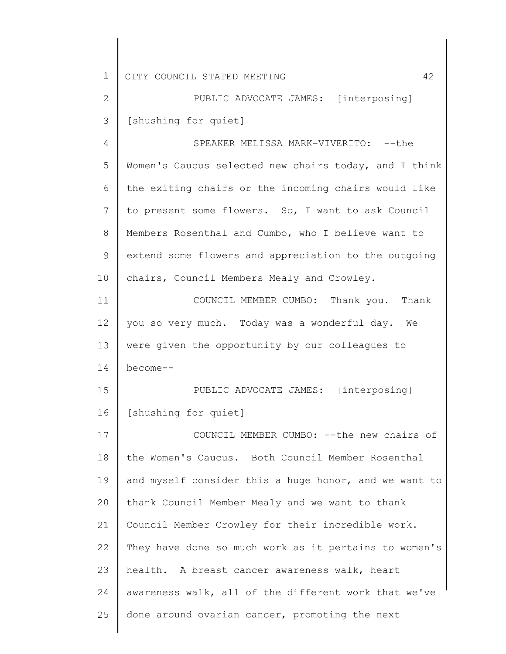2 3 PUBLIC ADVOCATE JAMES: [interposing] [shushing for quiet]

4 5 6 7 8 9 10 SPEAKER MELISSA MARK-VIVERITO: -- the Women's Caucus selected new chairs today, and I think the exiting chairs or the incoming chairs would like to present some flowers. So, I want to ask Council Members Rosenthal and Cumbo, who I believe want to extend some flowers and appreciation to the outgoing chairs, Council Members Mealy and Crowley.

11 12 13 14 COUNCIL MEMBER CUMBO: Thank you. Thank you so very much. Today was a wonderful day. We were given the opportunity by our colleagues to become--

15 16 PUBLIC ADVOCATE JAMES: [interposing] [shushing for quiet]

17 18 19 20 21 22 23 24 25 COUNCIL MEMBER CUMBO: --the new chairs of the Women's Caucus. Both Council Member Rosenthal and myself consider this a huge honor, and we want to thank Council Member Mealy and we want to thank Council Member Crowley for their incredible work. They have done so much work as it pertains to women's health. A breast cancer awareness walk, heart awareness walk, all of the different work that we've done around ovarian cancer, promoting the next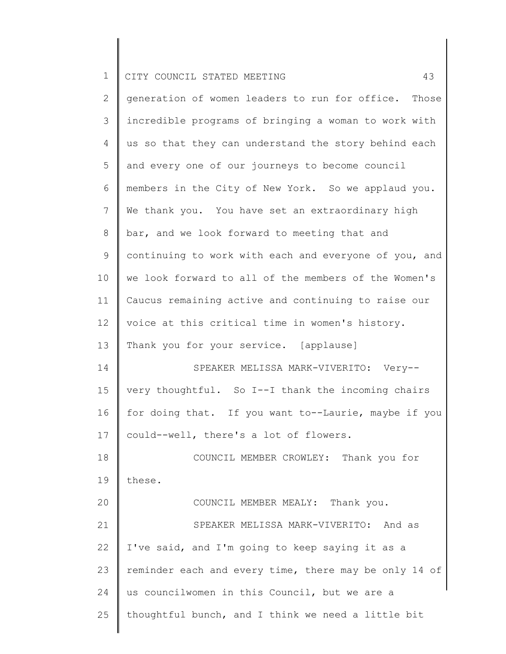| $\mathbf 1$  | 43<br>CITY COUNCIL STATED MEETING                     |
|--------------|-------------------------------------------------------|
| $\mathbf{2}$ | generation of women leaders to run for office. Those  |
| 3            | incredible programs of bringing a woman to work with  |
| 4            | us so that they can understand the story behind each  |
| 5            | and every one of our journeys to become council       |
| 6            | members in the City of New York. So we applaud you.   |
| 7            | We thank you. You have set an extraordinary high      |
| 8            | bar, and we look forward to meeting that and          |
| 9            | continuing to work with each and everyone of you, and |
| 10           | we look forward to all of the members of the Women's  |
| 11           | Caucus remaining active and continuing to raise our   |
| 12           | voice at this critical time in women's history.       |
| 13           | Thank you for your service. [applause]                |
| 14           | SPEAKER MELISSA MARK-VIVERITO: Very--                 |
| 15           | very thoughtful. So I--I thank the incoming chairs    |
| 16           | for doing that. If you want to--Laurie, maybe if you  |
| 17           | could--well, there's a lot of flowers.                |
| 18           | COUNCIL MEMBER CROWLEY: Thank you for                 |
| 19           | these.                                                |
| 20           | COUNCIL MEMBER MEALY: Thank you.                      |
| 21           | SPEAKER MELISSA MARK-VIVERITO: And as                 |
| 22           | I've said, and I'm going to keep saying it as a       |
| 23           | reminder each and every time, there may be only 14 of |
| 24           | us councilwomen in this Council, but we are a         |
| 25           | thoughtful bunch, and I think we need a little bit    |
|              |                                                       |

∥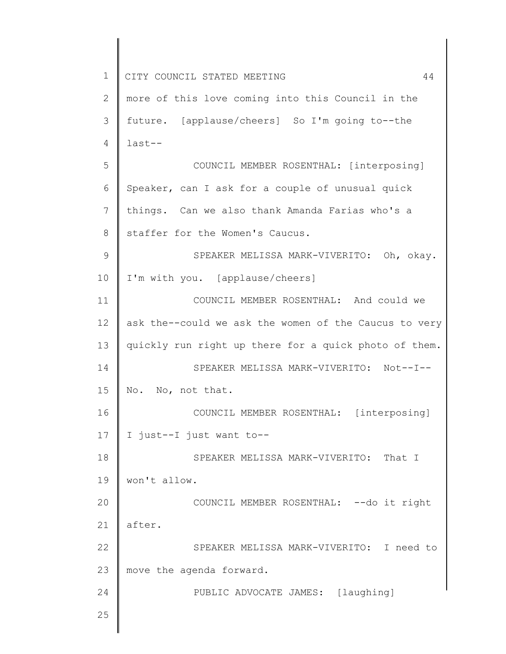| 1  | 44<br>CITY COUNCIL STATED MEETING                     |
|----|-------------------------------------------------------|
| 2  | more of this love coming into this Council in the     |
| 3  | future. [applause/cheers] So I'm going to--the        |
| 4  | $last--$                                              |
| 5  | COUNCIL MEMBER ROSENTHAL: [interposing]               |
| 6  | Speaker, can I ask for a couple of unusual quick      |
| 7  | things. Can we also thank Amanda Farias who's a       |
| 8  | staffer for the Women's Caucus.                       |
| 9  | SPEAKER MELISSA MARK-VIVERITO: Oh, okay.              |
| 10 | I'm with you. [applause/cheers]                       |
| 11 | COUNCIL MEMBER ROSENTHAL: And could we                |
| 12 | ask the--could we ask the women of the Caucus to very |
| 13 | quickly run right up there for a quick photo of them. |
| 14 | SPEAKER MELISSA MARK-VIVERITO: Not--I--               |
| 15 | No. No, not that.                                     |
| 16 | COUNCIL MEMBER ROSENTHAL: [interposing]               |
| 17 | I just--I just want to--                              |
| 18 | SPEAKER MELISSA MARK-VIVERITO: That I                 |
| 19 | won't allow.                                          |
| 20 | COUNCIL MEMBER ROSENTHAL: --do it right               |
| 21 | after.                                                |
| 22 | SPEAKER MELISSA MARK-VIVERITO: I need to              |
| 23 | move the agenda forward.                              |
| 24 | PUBLIC ADVOCATE JAMES: [laughing]                     |
| 25 |                                                       |
|    |                                                       |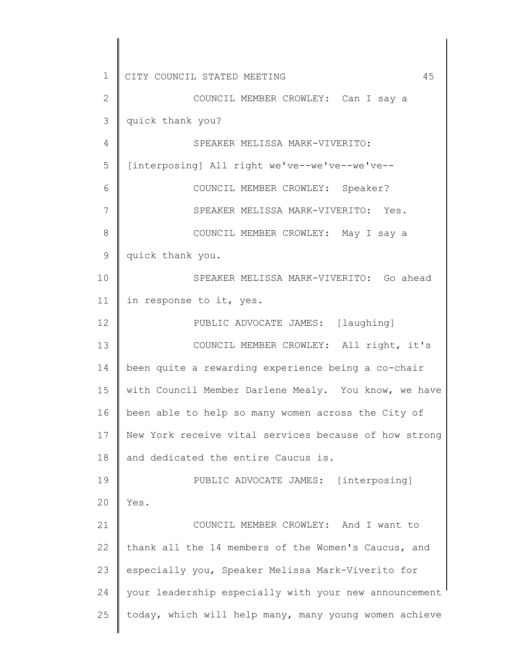1 2 3 4 5 6 7 8 9 10 11 12 13 14 15 16 17 18 19 20 21 22 23 24 25 CITY COUNCIL STATED MEETING 45 COUNCIL MEMBER CROWLEY: Can I say a quick thank you? SPEAKER MELISSA MARK-VIVERITO: [interposing] All right we've--we've--we've--COUNCIL MEMBER CROWLEY: Speaker? SPEAKER MELISSA MARK-VIVERITO: Yes. COUNCIL MEMBER CROWLEY: May I say a quick thank you. SPEAKER MELISSA MARK-VIVERITO: Go ahead in response to it, yes. PUBLIC ADVOCATE JAMES: [laughing] COUNCIL MEMBER CROWLEY: All right, it's been quite a rewarding experience being a co-chair with Council Member Darlene Mealy. You know, we have been able to help so many women across the City of New York receive vital services because of how strong and dedicated the entire Caucus is. PUBLIC ADVOCATE JAMES: [interposing] Yes. COUNCIL MEMBER CROWLEY: And I want to thank all the 14 members of the Women's Caucus, and especially you, Speaker Melissa Mark-Viverito for your leadership especially with your new announcement today, which will help many, many young women achieve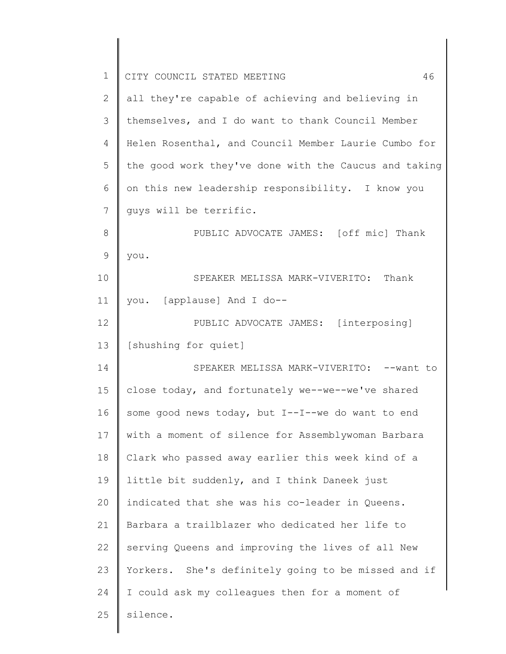| $\mathbf 1$   | 46<br>CITY COUNCIL STATED MEETING                     |
|---------------|-------------------------------------------------------|
| 2             | all they're capable of achieving and believing in     |
| 3             | themselves, and I do want to thank Council Member     |
| 4             | Helen Rosenthal, and Council Member Laurie Cumbo for  |
| 5             | the good work they've done with the Caucus and taking |
| 6             | on this new leadership responsibility. I know you     |
| 7             | quys will be terrific.                                |
| 8             | PUBLIC ADVOCATE JAMES: [off mic] Thank                |
| $\mathcal{G}$ | you.                                                  |
| 10            | SPEAKER MELISSA MARK-VIVERITO: Thank                  |
| 11            | you. [applause] And I do--                            |
| 12            | PUBLIC ADVOCATE JAMES: [interposing]                  |
| 13            | [shushing for quiet]                                  |
| 14            | SPEAKER MELISSA MARK-VIVERITO: -- want to             |
| 15            | close today, and fortunately we--we--we've shared     |
| 16            | some good news today, but I--I--we do want to end     |
| 17            | with a moment of silence for Assemblywoman Barbara    |
| 18            | Clark who passed away earlier this week kind of a     |
| 19            | little bit suddenly, and I think Daneek just          |
| 20            | indicated that she was his co-leader in Queens.       |
| 21            | Barbara a trailblazer who dedicated her life to       |
| 22            | serving Queens and improving the lives of all New     |
| 23            | Yorkers. She's definitely going to be missed and if   |
| 24            | I could ask my colleagues then for a moment of        |
| 25            | silence.                                              |
|               |                                                       |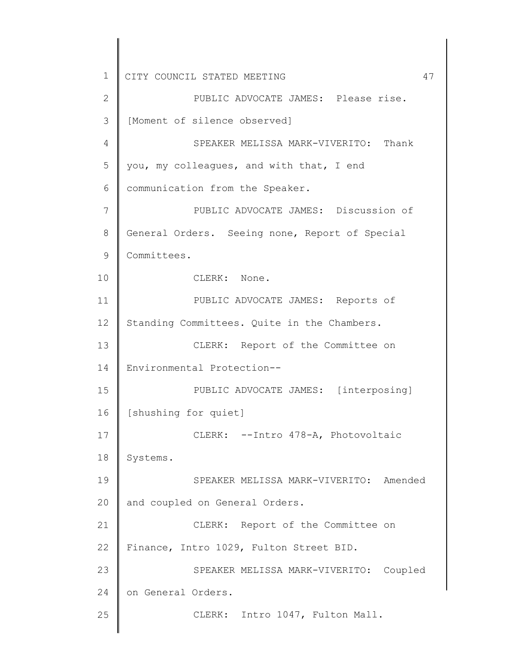1 2 3 4 5 6 7 8 9 10 11 12 13 14 15 16 17 18 19 20 21 22 23 24 25 CITY COUNCIL STATED MEETING 47 PUBLIC ADVOCATE JAMES: Please rise. [Moment of silence observed] SPEAKER MELISSA MARK-VIVERITO: Thank you, my colleagues, and with that, I end communication from the Speaker. PUBLIC ADVOCATE JAMES: Discussion of General Orders. Seeing none, Report of Special Committees. CLERK: None. PUBLIC ADVOCATE JAMES: Reports of Standing Committees. Quite in the Chambers. CLERK: Report of the Committee on Environmental Protection-- PUBLIC ADVOCATE JAMES: [interposing] [shushing for quiet] CLERK: --Intro 478-A, Photovoltaic Systems. SPEAKER MELISSA MARK-VIVERITO: Amended and coupled on General Orders. CLERK: Report of the Committee on Finance, Intro 1029, Fulton Street BID. SPEAKER MELISSA MARK-VIVERITO: Coupled on General Orders. CLERK: Intro 1047, Fulton Mall.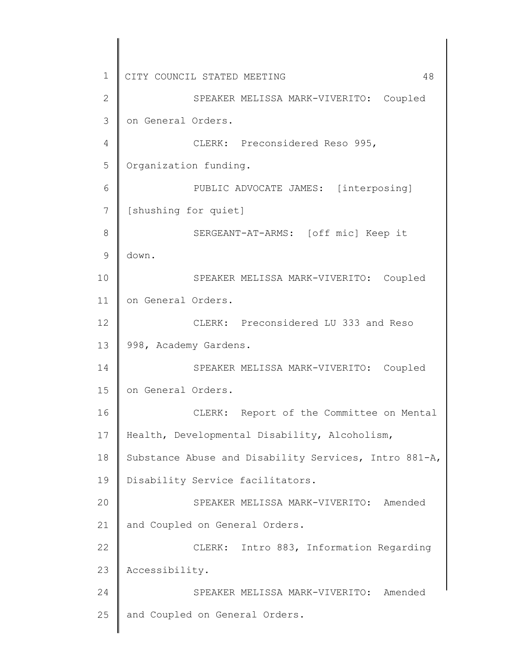1 2 3 4 5 6 7 8 9 10 11 12 13 14 15 16 17 18 19 20 21 22 23 24 25 CITY COUNCIL STATED MEETING 48 SPEAKER MELISSA MARK-VIVERITO: Coupled on General Orders. CLERK: Preconsidered Reso 995, Organization funding. PUBLIC ADVOCATE JAMES: [interposing] [shushing for quiet] SERGEANT-AT-ARMS: [off mic] Keep it down. SPEAKER MELISSA MARK-VIVERITO: Coupled on General Orders. CLERK: Preconsidered LU 333 and Reso 998, Academy Gardens. SPEAKER MELISSA MARK-VIVERITO: Coupled on General Orders. CLERK: Report of the Committee on Mental Health, Developmental Disability, Alcoholism, Substance Abuse and Disability Services, Intro 881-A, Disability Service facilitators. SPEAKER MELISSA MARK-VIVERITO: Amended and Coupled on General Orders. CLERK: Intro 883, Information Regarding Accessibility. SPEAKER MELISSA MARK-VIVERITO: Amended and Coupled on General Orders.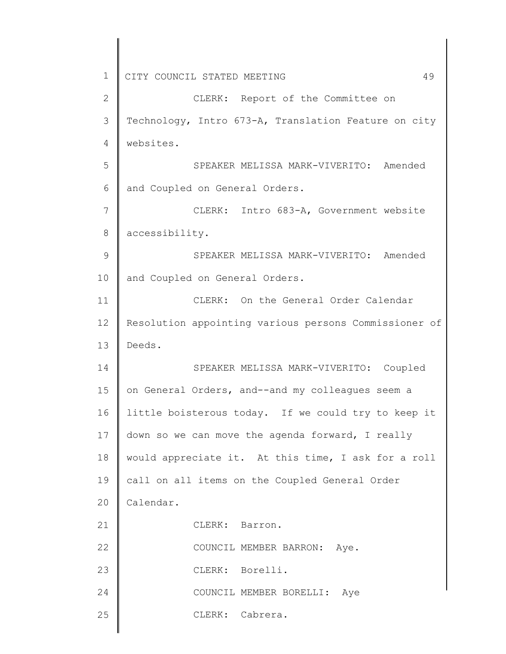1 2 3 4 5 6 7 8 9 10 11 12 13 14 15 16 17 18 19 20 21 22 23 24 25 CITY COUNCIL STATED MEETING 49 CLERK: Report of the Committee on Technology, Intro 673-A, Translation Feature on city websites. SPEAKER MELISSA MARK-VIVERITO: Amended and Coupled on General Orders. CLERK: Intro 683-A, Government website accessibility. SPEAKER MELISSA MARK-VIVERITO: Amended and Coupled on General Orders. CLERK: On the General Order Calendar Resolution appointing various persons Commissioner of Deeds. SPEAKER MELISSA MARK-VIVERITO: Coupled on General Orders, and--and my colleagues seem a little boisterous today. If we could try to keep it down so we can move the agenda forward, I really would appreciate it. At this time, I ask for a roll call on all items on the Coupled General Order Calendar. CLERK: Barron. COUNCIL MEMBER BARRON: Aye. CLERK: Borelli. COUNCIL MEMBER BORELLI: Aye CLERK: Cabrera.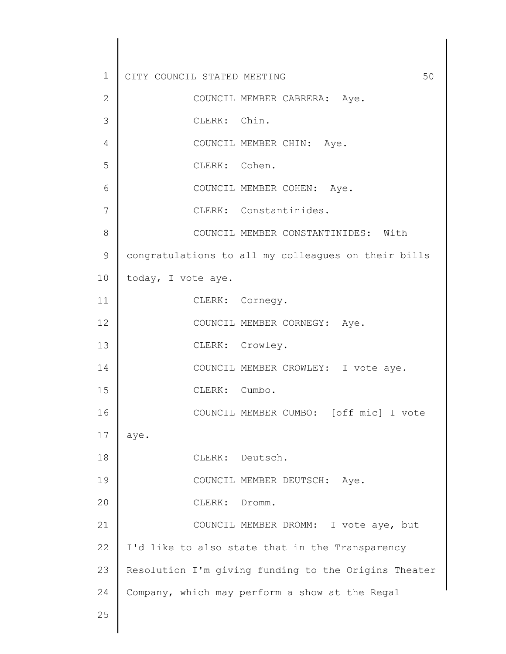1 2 3 4 5 6 7 8 9 10 11 12 13 14 15 16 17 18 19 20 21 22 23 24 25 CITY COUNCIL STATED MEETING 50 COUNCIL MEMBER CABRERA: Aye. CLERK: Chin. COUNCIL MEMBER CHIN: Aye. CLERK: Cohen. COUNCIL MEMBER COHEN: Aye. CLERK: Constantinides. COUNCIL MEMBER CONSTANTINIDES: With congratulations to all my colleagues on their bills today, I vote aye. CLERK: Cornegy. COUNCIL MEMBER CORNEGY: Aye. CLERK: Crowley. COUNCIL MEMBER CROWLEY: I vote aye. CLERK: Cumbo. COUNCIL MEMBER CUMBO: [off mic] I vote aye. CLERK: Deutsch. COUNCIL MEMBER DEUTSCH: Aye. CLERK: Dromm. COUNCIL MEMBER DROMM: I vote aye, but I'd like to also state that in the Transparency Resolution I'm giving funding to the Origins Theater Company, which may perform a show at the Regal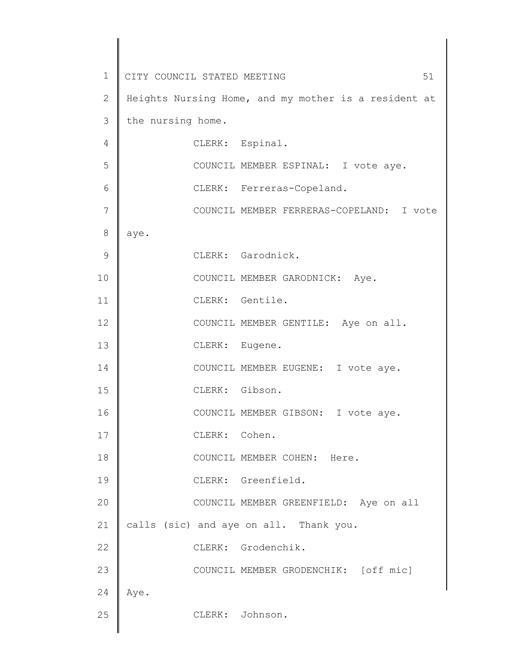| $\mathbf 1$    | CITY COUNCIL STATED MEETING<br>51                    |
|----------------|------------------------------------------------------|
| $\overline{2}$ | Heights Nursing Home, and my mother is a resident at |
| 3              | the nursing home.                                    |
| 4              | CLERK: Espinal.                                      |
| 5              | COUNCIL MEMBER ESPINAL: I vote aye.                  |
| 6              | CLERK: Ferreras-Copeland.                            |
| 7              | COUNCIL MEMBER FERRERAS-COPELAND: I vote             |
| $8\,$          | aye.                                                 |
| $\mathsf 9$    | CLERK: Garodnick.                                    |
| 10             | COUNCIL MEMBER GARODNICK: Aye.                       |
| 11             | CLERK: Gentile.                                      |
| 12             | COUNCIL MEMBER GENTILE: Aye on all.                  |
| 13             | CLERK: Eugene.                                       |
| 14             | COUNCIL MEMBER EUGENE: I vote aye.                   |
| 15             | CLERK: Gibson.                                       |
| 16             | COUNCIL MEMBER GIBSON: I vote aye.                   |
| 17             | CLERK: Cohen.                                        |
| 18             | COUNCIL MEMBER COHEN: Here.                          |
| 19             | CLERK: Greenfield.                                   |
| 20             | COUNCIL MEMBER GREENFIELD: Aye on all                |
| 21             | calls (sic) and aye on all. Thank you.               |
| 22             | CLERK: Grodenchik.                                   |
| 23             | COUNCIL MEMBER GRODENCHIK: [off mic]                 |
| 24             | Aye.                                                 |
| 25             | CLERK: Johnson.                                      |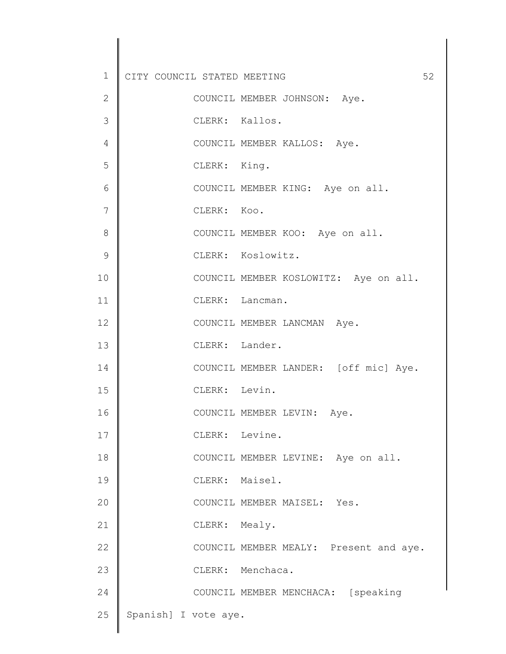| $\mathbf 1$  | CITY COUNCIL STATED MEETING |                                        | 52 |
|--------------|-----------------------------|----------------------------------------|----|
| $\mathbf{2}$ |                             | COUNCIL MEMBER JOHNSON: Aye.           |    |
| 3            |                             | CLERK: Kallos.                         |    |
| 4            |                             | COUNCIL MEMBER KALLOS: Aye.            |    |
| 5            |                             | CLERK: King.                           |    |
| 6            |                             | COUNCIL MEMBER KING: Aye on all.       |    |
| 7            |                             | CLERK: Koo.                            |    |
| 8            |                             | COUNCIL MEMBER KOO: Aye on all.        |    |
| 9            |                             | CLERK: Koslowitz.                      |    |
| 10           |                             | COUNCIL MEMBER KOSLOWITZ: Aye on all.  |    |
| 11           |                             | CLERK: Lancman.                        |    |
| 12           |                             | COUNCIL MEMBER LANCMAN Aye.            |    |
| 13           |                             | CLERK: Lander.                         |    |
| 14           |                             | COUNCIL MEMBER LANDER: [off mic] Aye.  |    |
| 15           |                             | CLERK: Levin.                          |    |
| 16           |                             | COUNCIL MEMBER LEVIN: Aye.             |    |
| 17           |                             | CLERK: Levine.                         |    |
| 18           |                             | COUNCIL MEMBER LEVINE: Aye on all.     |    |
| 19           |                             | CLERK: Maisel.                         |    |
| 20           |                             | COUNCIL MEMBER MAISEL: Yes.            |    |
| 21           |                             | CLERK: Mealy.                          |    |
| 22           |                             | COUNCIL MEMBER MEALY: Present and aye. |    |
| 23           |                             | CLERK: Menchaca.                       |    |
| 24           |                             | COUNCIL MEMBER MENCHACA: [speaking     |    |
| 25           | Spanish] I vote aye.        |                                        |    |
|              |                             |                                        |    |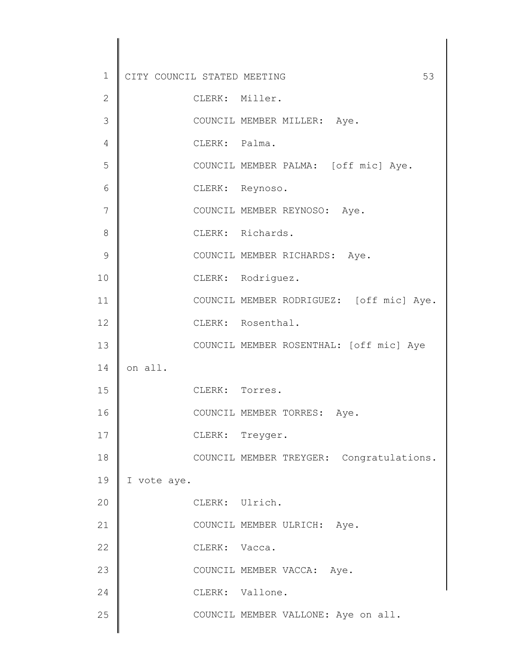| $\mathbf 1$   | CITY COUNCIL STATED MEETING |                | 53                                       |
|---------------|-----------------------------|----------------|------------------------------------------|
| $\mathbf{2}$  |                             | CLERK: Miller. |                                          |
| 3             |                             |                | COUNCIL MEMBER MILLER: Aye.              |
| 4             |                             | CLERK: Palma.  |                                          |
| 5             |                             |                | COUNCIL MEMBER PALMA: [off mic] Aye.     |
| 6             |                             |                | CLERK: Reynoso.                          |
| 7             |                             |                | COUNCIL MEMBER REYNOSO: Aye.             |
| 8             |                             |                | CLERK: Richards.                         |
| $\mathcal{G}$ |                             |                | COUNCIL MEMBER RICHARDS: Aye.            |
| 10            |                             |                | CLERK: Rodriguez.                        |
| 11            |                             |                | COUNCIL MEMBER RODRIGUEZ: [off mic] Aye. |
| 12            |                             |                | CLERK: Rosenthal.                        |
| 13            |                             |                | COUNCIL MEMBER ROSENTHAL: [off mic] Aye  |
| 14            | on all.                     |                |                                          |
| 15            |                             | CLERK: Torres. |                                          |
| 16            |                             |                | COUNCIL MEMBER TORRES: Aye.              |
| 17            |                             |                | CLERK: Treyger.                          |
| 18            |                             |                | COUNCIL MEMBER TREYGER: Congratulations. |
| 19            | I vote aye.                 |                |                                          |
| 20            |                             | CLERK: Ulrich. |                                          |
| 21            |                             |                | COUNCIL MEMBER ULRICH: Aye.              |
| 22            |                             | CLERK: Vacca.  |                                          |
| 23            |                             |                | COUNCIL MEMBER VACCA: Aye.               |
| 24            |                             |                | CLERK: Vallone.                          |
| 25            |                             |                | COUNCIL MEMBER VALLONE: Aye on all.      |
|               |                             |                |                                          |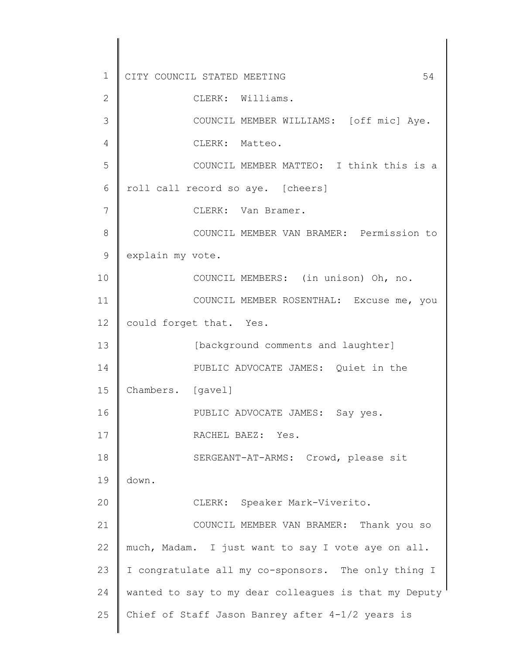1 2 3 4 5 6 7 8 9 10 11 12 13 14 15 16 17 18 19 20 21 22 23 24 25 CITY COUNCIL STATED MEETING 54 CLERK: Williams. COUNCIL MEMBER WILLIAMS: [off mic] Aye. CLERK: Matteo. COUNCIL MEMBER MATTEO: I think this is a roll call record so aye. [cheers] CLERK: Van Bramer. COUNCIL MEMBER VAN BRAMER: Permission to explain my vote. COUNCIL MEMBERS: (in unison) Oh, no. COUNCIL MEMBER ROSENTHAL: Excuse me, you could forget that. Yes. [background comments and laughter] PUBLIC ADVOCATE JAMES: Quiet in the Chambers. [gavel] PUBLIC ADVOCATE JAMES: Say yes. RACHEL BAEZ: Yes. SERGEANT-AT-ARMS: Crowd, please sit down. CLERK: Speaker Mark-Viverito. COUNCIL MEMBER VAN BRAMER: Thank you so much, Madam. I just want to say I vote aye on all. I congratulate all my co-sponsors. The only thing I wanted to say to my dear colleagues is that my Deputy Chief of Staff Jason Banrey after 4-1/2 years is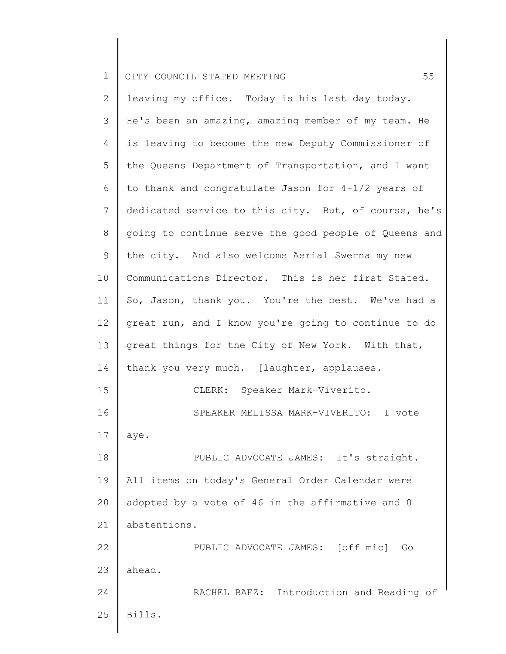2 3 4 5 6 7 8 9 10 11 12 13 14 15 16 17 18 19 20 21 22 23 24 25 leaving my office. Today is his last day today. He's been an amazing, amazing member of my team. He is leaving to become the new Deputy Commissioner of the Queens Department of Transportation, and I want to thank and congratulate Jason for 4-1/2 years of dedicated service to this city. But, of course, he's going to continue serve the good people of Queens and the city. And also welcome Aerial Swerna my new Communications Director. This is her first Stated. So, Jason, thank you. You're the best. We've had a great run, and I know you're going to continue to do great things for the City of New York. With that, thank you very much. [laughter, applauses. CLERK: Speaker Mark-Viverito. SPEAKER MELISSA MARK-VIVERITO: I vote aye. PUBLIC ADVOCATE JAMES: It's straight. All items on today's General Order Calendar were adopted by a vote of 46 in the affirmative and 0 abstentions. PUBLIC ADVOCATE JAMES: [off mic] Go ahead. RACHEL BAEZ: Introduction and Reading of Bills.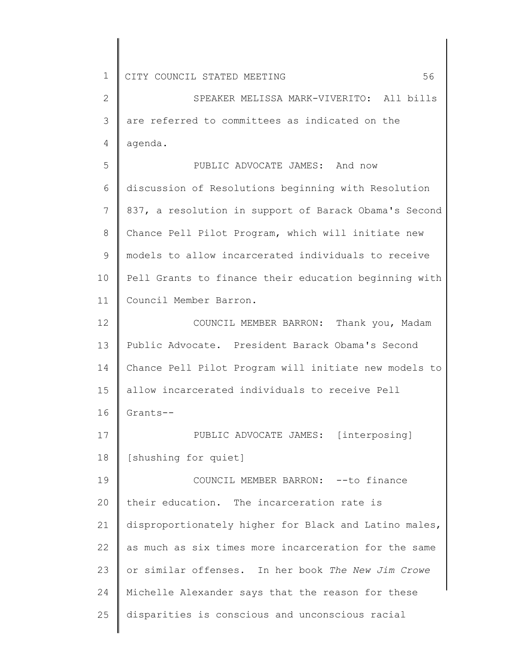2 3 4 SPEAKER MELISSA MARK-VIVERITO: All bills are referred to committees as indicated on the agenda.

5 6 7 8 9 10 11 PUBLIC ADVOCATE JAMES: And now discussion of Resolutions beginning with Resolution 837, a resolution in support of Barack Obama's Second Chance Pell Pilot Program, which will initiate new models to allow incarcerated individuals to receive Pell Grants to finance their education beginning with Council Member Barron.

12 13 14 15 16 COUNCIL MEMBER BARRON: Thank you, Madam Public Advocate. President Barack Obama's Second Chance Pell Pilot Program will initiate new models to allow incarcerated individuals to receive Pell Grants--

17 18 PUBLIC ADVOCATE JAMES: [interposing] [shushing for quiet]

19 20 21 22 23 24 25 COUNCIL MEMBER BARRON: --to finance their education. The incarceration rate is disproportionately higher for Black and Latino males, as much as six times more incarceration for the same or similar offenses. In her book *The New Jim Crowe* Michelle Alexander says that the reason for these disparities is conscious and unconscious racial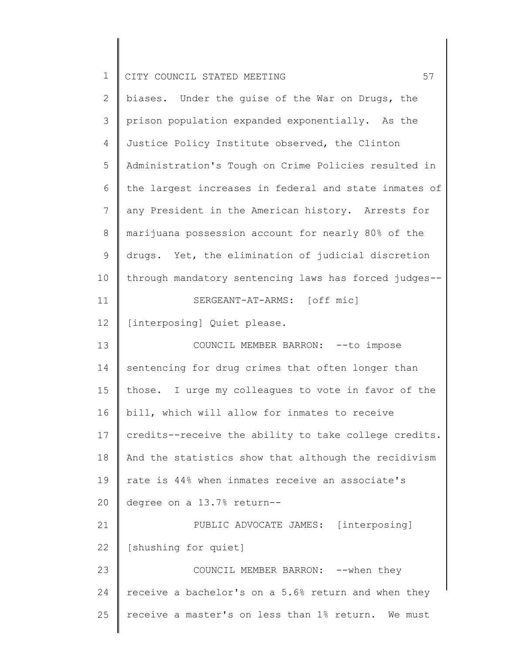|  | CITY COUNCIL STATED MEETING |  |  |  |
|--|-----------------------------|--|--|--|
|  |                             |  |  |  |

| $\overline{2}$  | biases. Under the guise of the War on Drugs, the      |
|-----------------|-------------------------------------------------------|
| 3               | prison population expanded exponentially. As the      |
| 4               | Justice Policy Institute observed, the Clinton        |
| 5               | Administration's Tough on Crime Policies resulted in  |
| 6               | the largest increases in federal and state inmates of |
| $7\phantom{.0}$ | any President in the American history. Arrests for    |
| 8               | marijuana possession account for nearly 80% of the    |
| $\mathsf 9$     | drugs. Yet, the elimination of judicial discretion    |
| 10              | through mandatory sentencing laws has forced judges-- |
| 11              | SERGEANT-AT-ARMS: [off mic]                           |
| 12              | [interposing] Quiet please.                           |
| 13              | COUNCIL MEMBER BARRON: -- to impose                   |
| 14              | sentencing for drug crimes that often longer than     |
| 15              | those. I urge my colleagues to vote in favor of the   |
| 16              | bill, which will allow for inmates to receive         |
| 17              | credits--receive the ability to take college credits. |
| 18              | And the statistics show that although the recidivism  |
| 19              | rate is 44% when inmates receive an associate's       |
| 20              | degree on a 13.7% return--                            |
| 21              | PUBLIC ADVOCATE JAMES: [interposing]                  |
| 22              | [shushing for quiet]                                  |
| 23              | COUNCIL MEMBER BARRON: -- when they                   |
| 24              | receive a bachelor's on a 5.6% return and when they   |
| 25              | receive a master's on less than 1% return. We must    |
|                 |                                                       |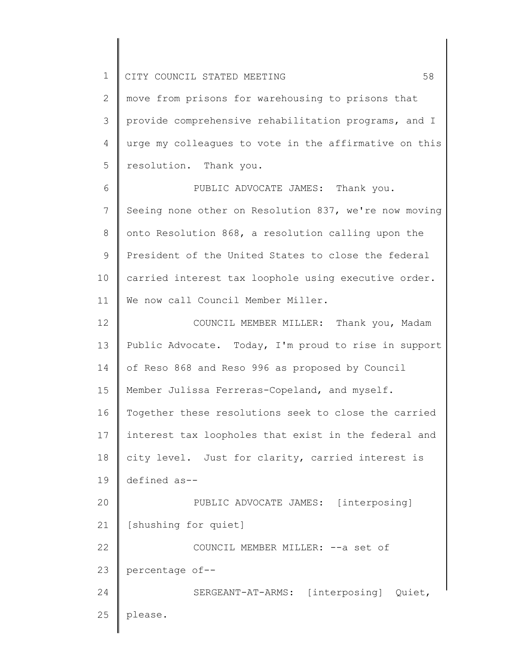1 2 3 4 5 6 7 8 9 10 11 12 13 14 15 16 17 18 19 20 21 22 23 24 25 CITY COUNCIL STATED MEETING 58 move from prisons for warehousing to prisons that provide comprehensive rehabilitation programs, and I urge my colleagues to vote in the affirmative on this resolution. Thank you. PUBLIC ADVOCATE JAMES: Thank you. Seeing none other on Resolution 837, we're now moving onto Resolution 868, a resolution calling upon the President of the United States to close the federal carried interest tax loophole using executive order. We now call Council Member Miller. COUNCIL MEMBER MILLER: Thank you, Madam Public Advocate. Today, I'm proud to rise in support of Reso 868 and Reso 996 as proposed by Council Member Julissa Ferreras-Copeland, and myself. Together these resolutions seek to close the carried interest tax loopholes that exist in the federal and city level. Just for clarity, carried interest is defined as-- PUBLIC ADVOCATE JAMES: [interposing] [shushing for quiet] COUNCIL MEMBER MILLER: --a set of percentage of-- SERGEANT-AT-ARMS: [interposing] Quiet, please.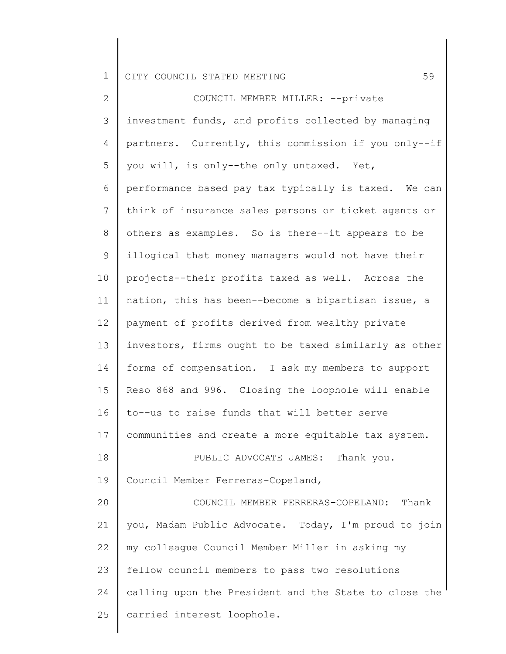| $\overline{2}$ | COUNCIL MEMBER MILLER: -- private                     |
|----------------|-------------------------------------------------------|
| 3              | investment funds, and profits collected by managing   |
| 4              | partners. Currently, this commission if you only--if  |
| 5              | you will, is only--the only untaxed. Yet,             |
| 6              | performance based pay tax typically is taxed. We can  |
| $\overline{7}$ | think of insurance sales persons or ticket agents or  |
| $8\,$          | others as examples. So is there--it appears to be     |
| $\mathsf 9$    | illogical that money managers would not have their    |
| 10             | projects--their profits taxed as well. Across the     |
| 11             | nation, this has been--become a bipartisan issue, a   |
| 12             | payment of profits derived from wealthy private       |
| 13             | investors, firms ought to be taxed similarly as other |
| 14             | forms of compensation. I ask my members to support    |
| 15             | Reso 868 and 996. Closing the loophole will enable    |
| 16             | to--us to raise funds that will better serve          |
| 17             | communities and create a more equitable tax system.   |
| 18             | PUBLIC ADVOCATE JAMES: Thank you.                     |
| 19             | Council Member Ferreras-Copeland,                     |
| 20             | COUNCIL MEMBER FERRERAS-COPELAND: Thank               |
| 21             | you, Madam Public Advocate. Today, I'm proud to join  |
| 22             | my colleague Council Member Miller in asking my       |
| 23             | fellow council members to pass two resolutions        |
| 24             | calling upon the President and the State to close the |
| 25             | carried interest loophole.                            |
|                |                                                       |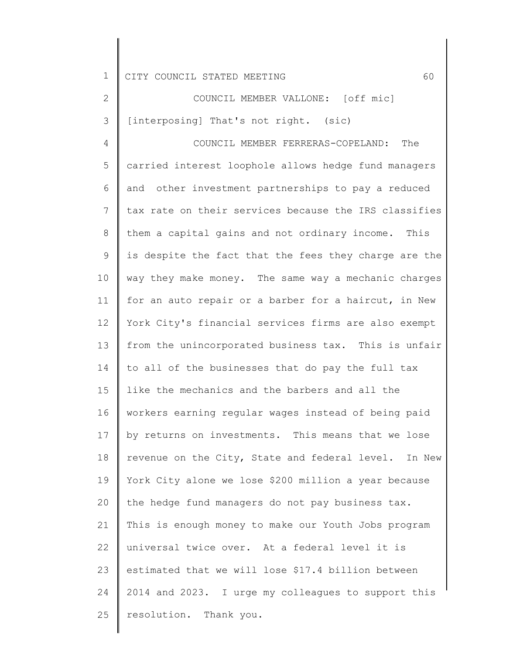2 3 COUNCIL MEMBER VALLONE: [off mic] [interposing] That's not right. (sic)

4 5 6 7 8 9 10 11 12 13 14 15 16 17 18 19 20 21 22 23 24 25 COUNCIL MEMBER FERRERAS-COPELAND: The carried interest loophole allows hedge fund managers and other investment partnerships to pay a reduced tax rate on their services because the IRS classifies them a capital gains and not ordinary income. This is despite the fact that the fees they charge are the way they make money. The same way a mechanic charges for an auto repair or a barber for a haircut, in New York City's financial services firms are also exempt from the unincorporated business tax. This is unfair to all of the businesses that do pay the full tax like the mechanics and the barbers and all the workers earning regular wages instead of being paid by returns on investments. This means that we lose revenue on the City, State and federal level. In New York City alone we lose \$200 million a year because the hedge fund managers do not pay business tax. This is enough money to make our Youth Jobs program universal twice over. At a federal level it is estimated that we will lose \$17.4 billion between 2014 and 2023. I urge my colleagues to support this resolution. Thank you.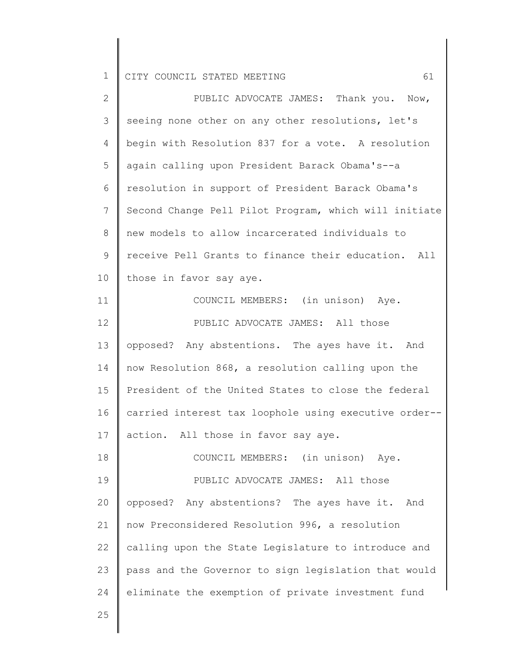| $\mathbf{2}^{\prime}$ | PUBLIC ADVOCATE JAMES: Thank you. Now,                |
|-----------------------|-------------------------------------------------------|
| 3                     | seeing none other on any other resolutions, let's     |
| 4                     | begin with Resolution 837 for a vote. A resolution    |
| 5                     | again calling upon President Barack Obama's--a        |
| 6                     | resolution in support of President Barack Obama's     |
| 7                     | Second Change Pell Pilot Program, which will initiate |
| 8                     | new models to allow incarcerated individuals to       |
| 9                     | receive Pell Grants to finance their education. All   |
| 10                    | those in favor say aye.                               |
| 11                    | COUNCIL MEMBERS: (in unison) Aye.                     |
| 12                    | PUBLIC ADVOCATE JAMES: All those                      |
| 13                    | opposed? Any abstentions. The ayes have it. And       |
| 14                    | now Resolution 868, a resolution calling upon the     |
| 15                    | President of the United States to close the federal   |
| 16                    | carried interest tax loophole using executive order-- |
| 17                    | action. All those in favor say aye.                   |
| 18                    | COUNCIL MEMBERS: (in unison) Aye.                     |
| 19                    | PUBLIC ADVOCATE JAMES: All those                      |
| 20                    | opposed? Any abstentions? The ayes have it. And       |
| 21                    | now Preconsidered Resolution 996, a resolution        |
| 22                    | calling upon the State Legislature to introduce and   |
| 23                    | pass and the Governor to sign legislation that would  |
| 24                    | eliminate the exemption of private investment fund    |
| 25                    |                                                       |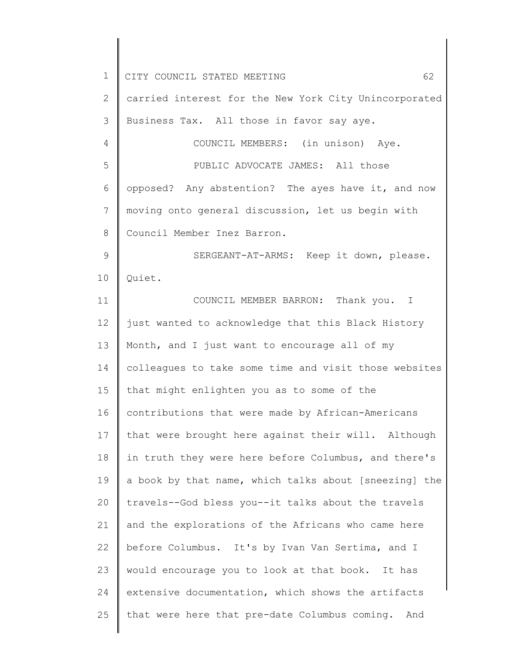| $\mathbf 1$ | 62<br>CITY COUNCIL STATED MEETING                     |
|-------------|-------------------------------------------------------|
| 2           | carried interest for the New York City Unincorporated |
| 3           | Business Tax. All those in favor say aye.             |
| 4           | COUNCIL MEMBERS: (in unison) Aye.                     |
| 5           | PUBLIC ADVOCATE JAMES: All those                      |
| 6           | opposed? Any abstention? The ayes have it, and now    |
| 7           | moving onto general discussion, let us begin with     |
| 8           | Council Member Inez Barron.                           |
| 9           | SERGEANT-AT-ARMS: Keep it down, please.               |
| 10          | Quiet.                                                |
| 11          | COUNCIL MEMBER BARRON: Thank you. I                   |
| 12          | just wanted to acknowledge that this Black History    |
| 13          | Month, and I just want to encourage all of my         |
| 14          | colleagues to take some time and visit those websites |
| 15          | that might enlighten you as to some of the            |
| 16          | contributions that were made by African-Americans     |
| 17          | that were brought here against their will. Although   |
| 18          | in truth they were here before Columbus, and there's  |
| 19          | a book by that name, which talks about [sneezing] the |
| 20          | travels--God bless you--it talks about the travels    |
| 21          | and the explorations of the Africans who came here    |
| 22          | before Columbus. It's by Ivan Van Sertima, and I      |
| 23          | would encourage you to look at that book. It has      |
| 24          | extensive documentation, which shows the artifacts    |
| 25          | that were here that pre-date Columbus coming. And     |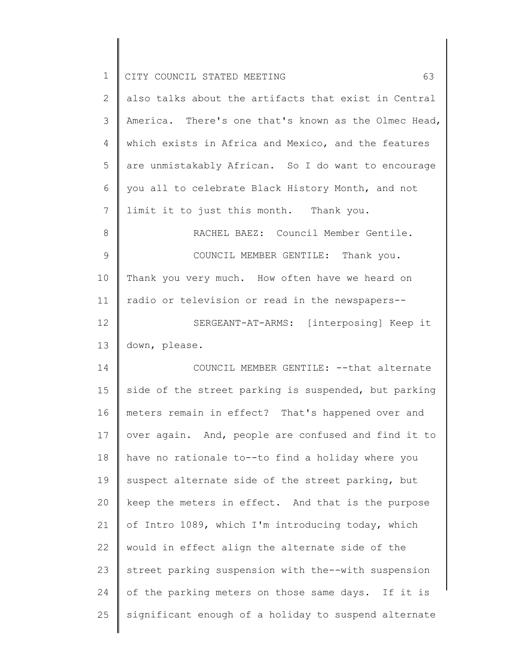| $\mathbf{1}$  | 63<br>CITY COUNCIL STATED MEETING                    |
|---------------|------------------------------------------------------|
| $\mathbf{2}$  | also talks about the artifacts that exist in Central |
| 3             | America. There's one that's known as the Olmec Head, |
| 4             | which exists in Africa and Mexico, and the features  |
| 5             | are unmistakably African. So I do want to encourage  |
| 6             | you all to celebrate Black History Month, and not    |
| 7             | limit it to just this month. Thank you.              |
| 8             | RACHEL BAEZ: Council Member Gentile.                 |
| $\mathcal{G}$ | COUNCIL MEMBER GENTILE: Thank you.                   |
| 10            | Thank you very much. How often have we heard on      |
| 11            | radio or television or read in the newspapers--      |
| 12            | SERGEANT-AT-ARMS: [interposing] Keep it              |
| 13            | down, please.                                        |
| 14            | COUNCIL MEMBER GENTILE: -- that alternate            |
| 15            | side of the street parking is suspended, but parking |
| 16            | meters remain in effect? That's happened over and    |
| 17            | over again. And, people are confused and find it to  |
| 18            | have no rationale to--to find a holiday where you    |
| 19            | suspect alternate side of the street parking, but    |
| 20            | keep the meters in effect. And that is the purpose   |
| 21            | of Intro 1089, which I'm introducing today, which    |
| 22            | would in effect align the alternate side of the      |
| 23            | street parking suspension with the--with suspension  |
| 24            | of the parking meters on those same days. If it is   |
| 25            | significant enough of a holiday to suspend alternate |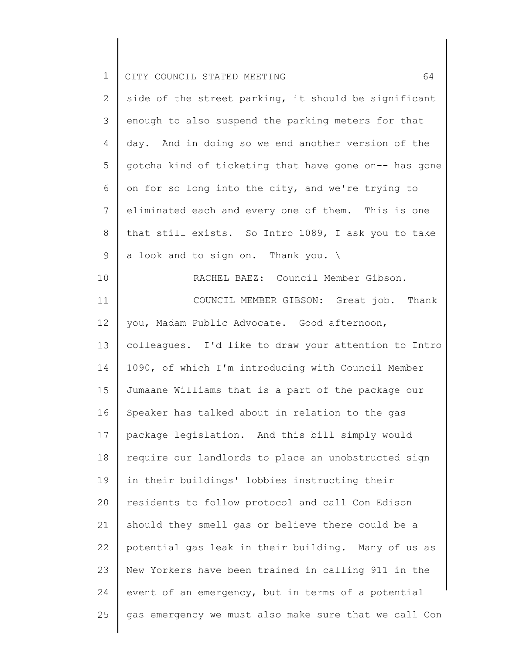| ᆂ | CITY COUNCIL STATED MEETING |  |  |  |
|---|-----------------------------|--|--|--|
|   |                             |  |  |  |

| $\overline{2}$ | side of the street parking, it should be significant  |
|----------------|-------------------------------------------------------|
| 3              | enough to also suspend the parking meters for that    |
| 4              | day. And in doing so we end another version of the    |
| 5              | gotcha kind of ticketing that have gone on-- has gone |
| 6              | on for so long into the city, and we're trying to     |
| $7\phantom{.}$ | eliminated each and every one of them. This is one    |
| $8\,$          | that still exists. So Intro 1089, I ask you to take   |
| 9              | a look and to sign on. Thank you. \                   |
| 10             | RACHEL BAEZ: Council Member Gibson.                   |
| 11             | COUNCIL MEMBER GIBSON: Great job. Thank               |
| 12             | you, Madam Public Advocate. Good afternoon,           |
| 13             | colleagues. I'd like to draw your attention to Intro  |
| 14             | 1090, of which I'm introducing with Council Member    |
| 15             | Jumaane Williams that is a part of the package our    |
| 16             | Speaker has talked about in relation to the gas       |
| 17             | package legislation. And this bill simply would       |
| 18             | require our landlords to place an unobstructed sign   |
| 19             | in their buildings' lobbies instructing their         |
| 20             | residents to follow protocol and call Con Edison      |
| 21             | should they smell gas or believe there could be a     |
| 22             | potential gas leak in their building. Many of us as   |
| 23             | New Yorkers have been trained in calling 911 in the   |
| 24             | event of an emergency, but in terms of a potential    |
| 25             | gas emergency we must also make sure that we call Con |
|                |                                                       |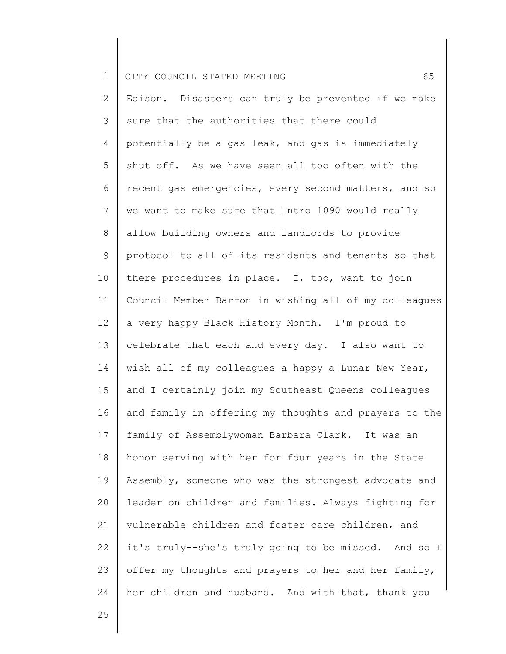2 3 4 5 6 7 8 9 10 11 12 13 14 15 16 17 18 19 20 21 22 23 24 Edison. Disasters can truly be prevented if we make sure that the authorities that there could potentially be a gas leak, and gas is immediately shut off. As we have seen all too often with the recent gas emergencies, every second matters, and so we want to make sure that Intro 1090 would really allow building owners and landlords to provide protocol to all of its residents and tenants so that there procedures in place. I, too, want to join Council Member Barron in wishing all of my colleagues a very happy Black History Month. I'm proud to celebrate that each and every day. I also want to wish all of my colleagues a happy a Lunar New Year, and I certainly join my Southeast Queens colleagues and family in offering my thoughts and prayers to the family of Assemblywoman Barbara Clark. It was an honor serving with her for four years in the State Assembly, someone who was the strongest advocate and leader on children and families. Always fighting for vulnerable children and foster care children, and it's truly--she's truly going to be missed. And so I offer my thoughts and prayers to her and her family, her children and husband. And with that, thank you

25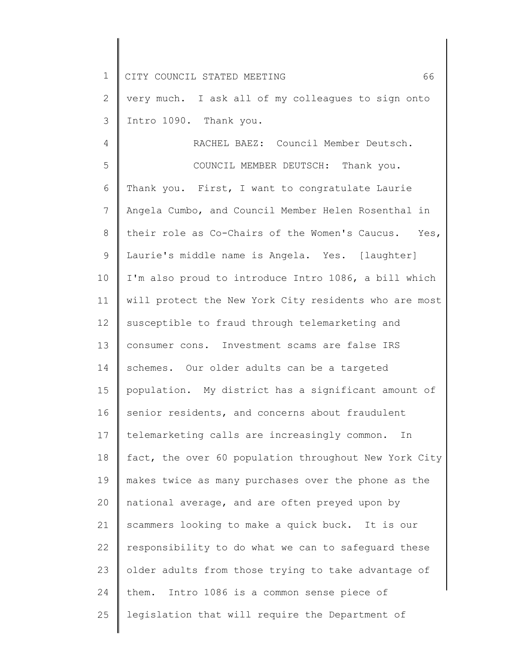1 2 3 4 5 6 7 8 9 10 11 12 13 14 15 16 17 18 19 20 21 22 23 24 25 CITY COUNCIL STATED MEETING 66 very much. I ask all of my colleagues to sign onto Intro 1090. Thank you. RACHEL BAEZ: Council Member Deutsch. COUNCIL MEMBER DEUTSCH: Thank you. Thank you. First, I want to congratulate Laurie Angela Cumbo, and Council Member Helen Rosenthal in their role as Co-Chairs of the Women's Caucus. Yes, Laurie's middle name is Angela. Yes. [laughter] I'm also proud to introduce Intro 1086, a bill which will protect the New York City residents who are most susceptible to fraud through telemarketing and consumer cons. Investment scams are false IRS schemes. Our older adults can be a targeted population. My district has a significant amount of senior residents, and concerns about fraudulent telemarketing calls are increasingly common. In fact, the over 60 population throughout New York City makes twice as many purchases over the phone as the national average, and are often preyed upon by scammers looking to make a quick buck. It is our responsibility to do what we can to safeguard these older adults from those trying to take advantage of them. Intro 1086 is a common sense piece of legislation that will require the Department of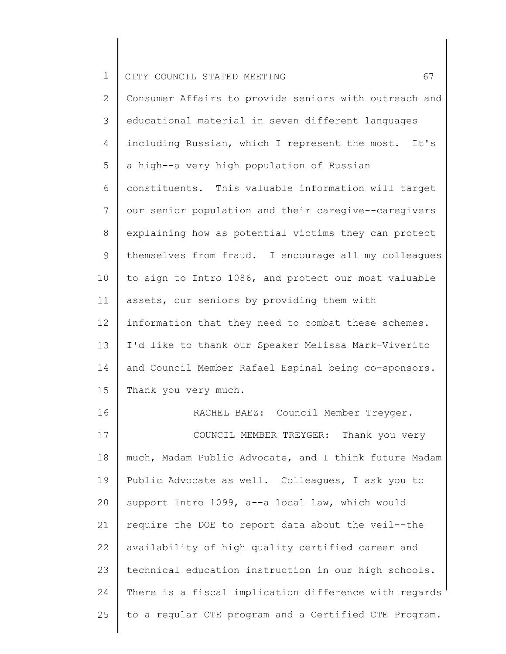| ᆠ |  | CITY COUNCIL STATED MEETING |  |  |  |  |
|---|--|-----------------------------|--|--|--|--|
|---|--|-----------------------------|--|--|--|--|

| $\overline{2}$ | Consumer Affairs to provide seniors with outreach and |
|----------------|-------------------------------------------------------|
| 3              | educational material in seven different languages     |
| 4              | including Russian, which I represent the most. It's   |
| 5              | a high--a very high population of Russian             |
| 6              | constituents. This valuable information will target   |
| 7              | our senior population and their caregive--caregivers  |
| 8              | explaining how as potential victims they can protect  |
| 9              | themselves from fraud. I encourage all my colleagues  |
| 10             | to sign to Intro 1086, and protect our most valuable  |
| 11             | assets, our seniors by providing them with            |
| 12             | information that they need to combat these schemes.   |
| 13             | I'd like to thank our Speaker Melissa Mark-Viverito   |
| 14             | and Council Member Rafael Espinal being co-sponsors.  |
| 15             | Thank you very much.                                  |
| 16             | RACHEL BAEZ: Council Member Treyger.                  |
| 17             | Thank you very<br>COUNCIL MEMBER TREYGER:             |
| 18             | much, Madam Public Advocate, and I think future Madam |
| 19             | Public Advocate as well. Colleagues, I ask you to     |
| 20             | support Intro 1099, a--a local law, which would       |
| 21             | require the DOE to report data about the veil--the    |
| 22             | availability of high quality certified career and     |
| 23             | technical education instruction in our high schools.  |
| 24             | There is a fiscal implication difference with regards |
| 25             | to a regular CTE program and a Certified CTE Program. |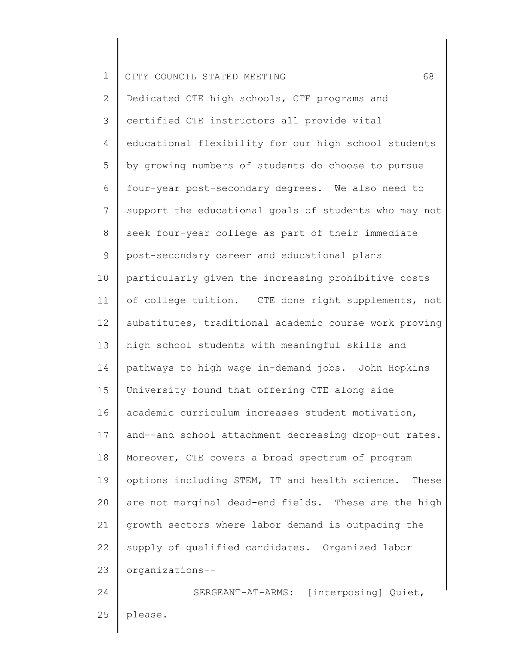| $\mathbf 1$    | 68<br>CITY COUNCIL STATED MEETING                     |
|----------------|-------------------------------------------------------|
| $\overline{2}$ | Dedicated CTE high schools, CTE programs and          |
| 3              | certified CTE instructors all provide vital           |
| 4              | educational flexibility for our high school students  |
| 5              | by growing numbers of students do choose to pursue    |
| 6              | four-year post-secondary degrees. We also need to     |
| $\overline{7}$ | support the educational goals of students who may not |
| 8              | seek four-year college as part of their immediate     |
| 9              | post-secondary career and educational plans           |
| 10             | particularly given the increasing prohibitive costs   |
| 11             | of college tuition. CTE done right supplements, not   |
| 12             | substitutes, traditional academic course work proving |
| 13             | high school students with meaningful skills and       |
| 14             | pathways to high wage in-demand jobs. John Hopkins    |
| 15             | University found that offering CTE along side         |
| 16             | academic curriculum increases student motivation,     |
| 17             | and--and school attachment decreasing drop-out rates. |
| 18             | Moreover, CTE covers a broad spectrum of program      |
| 19             | options including STEM, IT and health science. These  |
| 20             | are not marginal dead-end fields. These are the high  |
| 21             | growth sectors where labor demand is outpacing the    |
| 22             | supply of qualified candidates. Organized labor       |
| 23             | organizations--                                       |
| 24             | SERGEANT-AT-ARMS: [interposing] Quiet,                |
| 25             | please.                                               |
|                |                                                       |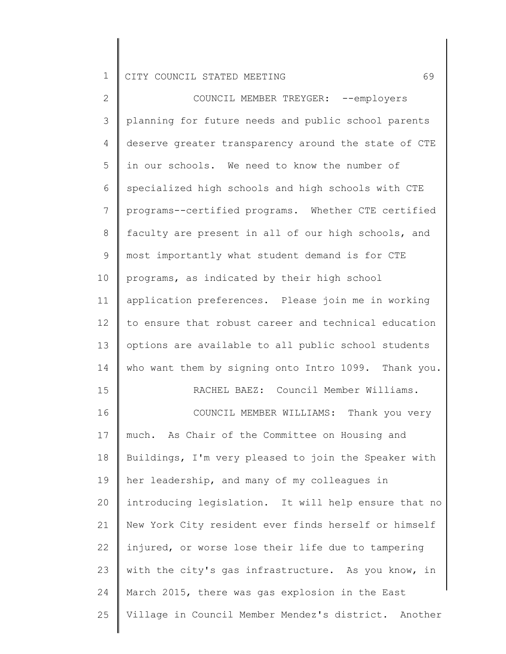2 3 4 5 6 7 8 9 10 11 12 13 14 15 16 17 18 19 20 21 22 23 24 25 COUNCIL MEMBER TREYGER: --employers planning for future needs and public school parents deserve greater transparency around the state of CTE in our schools. We need to know the number of specialized high schools and high schools with CTE programs--certified programs. Whether CTE certified faculty are present in all of our high schools, and most importantly what student demand is for CTE programs, as indicated by their high school application preferences. Please join me in working to ensure that robust career and technical education options are available to all public school students who want them by signing onto Intro 1099. Thank you. RACHEL BAEZ: Council Member Williams. COUNCIL MEMBER WILLIAMS: Thank you very much. As Chair of the Committee on Housing and Buildings, I'm very pleased to join the Speaker with her leadership, and many of my colleagues in introducing legislation. It will help ensure that no New York City resident ever finds herself or himself injured, or worse lose their life due to tampering with the city's gas infrastructure. As you know, in March 2015, there was gas explosion in the East Village in Council Member Mendez's district. Another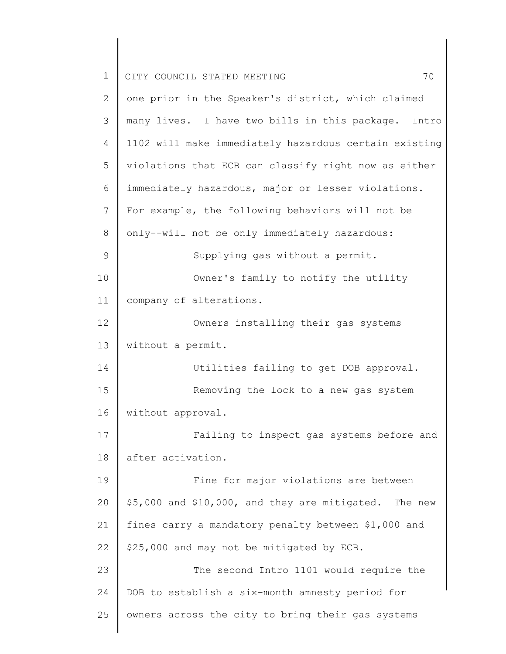| $\mathbf 1$   | 70<br>CITY COUNCIL STATED MEETING                     |
|---------------|-------------------------------------------------------|
| $\mathbf{2}$  | one prior in the Speaker's district, which claimed    |
| 3             | many lives. I have two bills in this package. Intro   |
| 4             | 1102 will make immediately hazardous certain existing |
| 5             | violations that ECB can classify right now as either  |
| 6             | immediately hazardous, major or lesser violations.    |
| 7             | For example, the following behaviors will not be      |
| 8             | only--will not be only immediately hazardous:         |
| $\mathcal{G}$ | Supplying gas without a permit.                       |
| 10            | Owner's family to notify the utility                  |
| 11            | company of alterations.                               |
| 12            | Owners installing their gas systems                   |
| 13            | without a permit.                                     |
| 14            | Utilities failing to get DOB approval.                |
| 15            | Removing the lock to a new gas system                 |
| 16            | without approval.                                     |
| 17            | Failing to inspect gas systems before and             |
| 18            | after activation.                                     |
| 19            | Fine for major violations are between                 |
| 20            | \$5,000 and \$10,000, and they are mitigated. The new |
| 21            | fines carry a mandatory penalty between \$1,000 and   |
| 22            | \$25,000 and may not be mitigated by ECB.             |
| 23            | The second Intro 1101 would require the               |
| 24            | DOB to establish a six-month amnesty period for       |
| 25            | owners across the city to bring their gas systems     |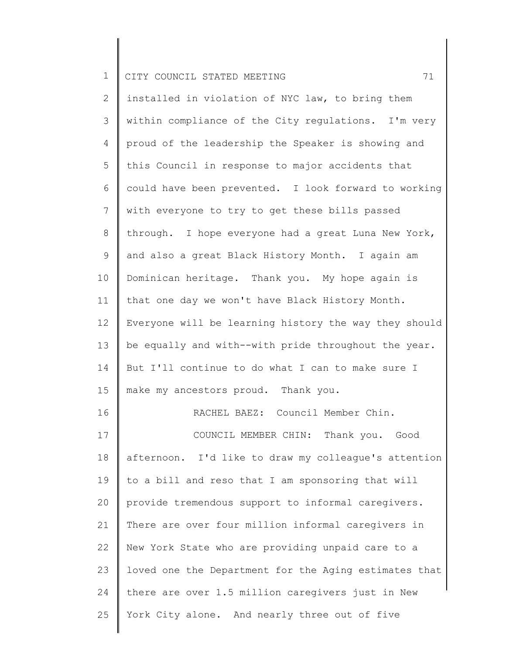|  |  | 1    CITY COUNCIL STATED MEETING |  |  |  |  |  |
|--|--|----------------------------------|--|--|--|--|--|
|--|--|----------------------------------|--|--|--|--|--|

25

2 3 4 5 6 7 8 9 10 11 12 13 14 15 16 17 18 19 20 21 22 23 24 installed in violation of NYC law, to bring them within compliance of the City regulations. I'm very proud of the leadership the Speaker is showing and this Council in response to major accidents that could have been prevented. I look forward to working with everyone to try to get these bills passed through. I hope everyone had a great Luna New York, and also a great Black History Month. I again am Dominican heritage. Thank you. My hope again is that one day we won't have Black History Month. Everyone will be learning history the way they should be equally and with--with pride throughout the year. But I'll continue to do what I can to make sure I make my ancestors proud. Thank you. RACHEL BAEZ: Council Member Chin. COUNCIL MEMBER CHIN: Thank you. Good afternoon. I'd like to draw my colleague's attention to a bill and reso that I am sponsoring that will provide tremendous support to informal caregivers. There are over four million informal caregivers in New York State who are providing unpaid care to a loved one the Department for the Aging estimates that there are over 1.5 million caregivers just in New

York City alone. And nearly three out of five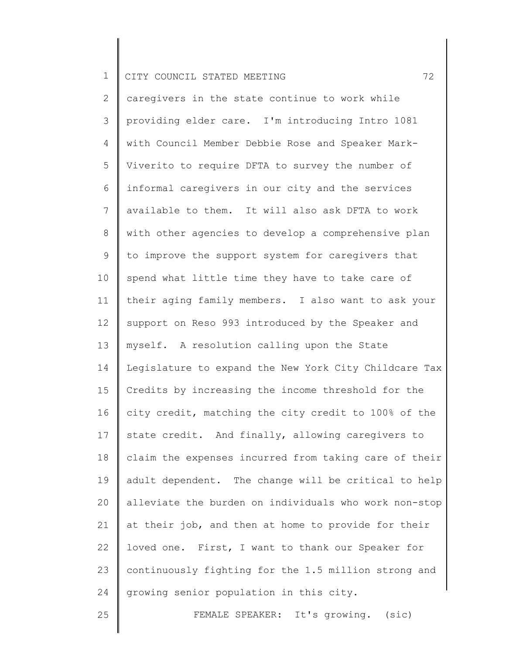2 3 4 5 6 7 8 9 10 11 12 13 14 15 16 17 18 19 20 21 22 23 24 caregivers in the state continue to work while providing elder care. I'm introducing Intro 1081 with Council Member Debbie Rose and Speaker Mark-Viverito to require DFTA to survey the number of informal caregivers in our city and the services available to them. It will also ask DFTA to work with other agencies to develop a comprehensive plan to improve the support system for caregivers that spend what little time they have to take care of their aging family members. I also want to ask your support on Reso 993 introduced by the Speaker and myself. A resolution calling upon the State Legislature to expand the New York City Childcare Tax Credits by increasing the income threshold for the city credit, matching the city credit to 100% of the state credit. And finally, allowing caregivers to claim the expenses incurred from taking care of their adult dependent. The change will be critical to help alleviate the burden on individuals who work non-stop at their job, and then at home to provide for their loved one. First, I want to thank our Speaker for continuously fighting for the 1.5 million strong and growing senior population in this city.

25

FEMALE SPEAKER: It's growing. (sic)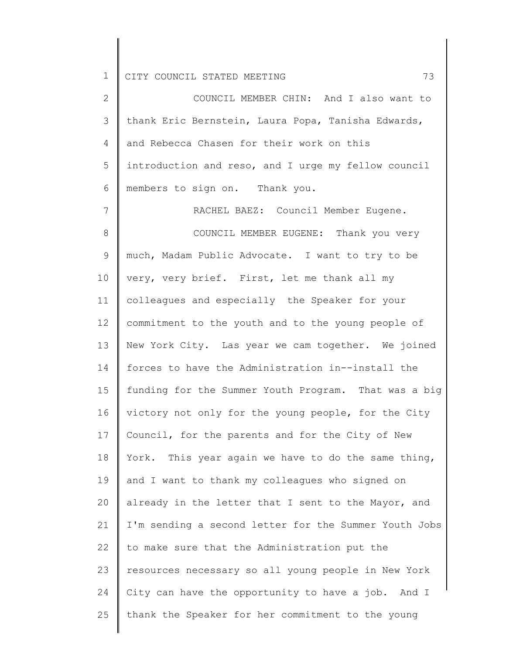2 3 4 5 6 COUNCIL MEMBER CHIN: And I also want to thank Eric Bernstein, Laura Popa, Tanisha Edwards, and Rebecca Chasen for their work on this introduction and reso, and I urge my fellow council members to sign on. Thank you.

7 8 9 10 11 12 13 14 15 16 17 18 19 20 21 22 23 24 25 RACHEL BAEZ: Council Member Eugene. COUNCIL MEMBER EUGENE: Thank you very much, Madam Public Advocate. I want to try to be very, very brief. First, let me thank all my colleagues and especially the Speaker for your commitment to the youth and to the young people of New York City. Las year we cam together. We joined forces to have the Administration in--install the funding for the Summer Youth Program. That was a big victory not only for the young people, for the City Council, for the parents and for the City of New York. This year again we have to do the same thing, and I want to thank my colleagues who signed on already in the letter that I sent to the Mayor, and I'm sending a second letter for the Summer Youth Jobs to make sure that the Administration put the resources necessary so all young people in New York City can have the opportunity to have a job. And I thank the Speaker for her commitment to the young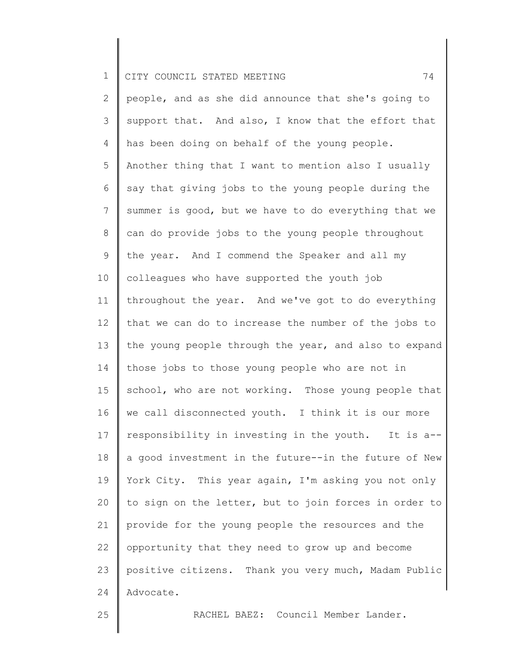2 3 4 5 6 7 8 9 10 11 12 13 14 15 16 17 18 19 20 21 22 23 24 people, and as she did announce that she's going to support that. And also, I know that the effort that has been doing on behalf of the young people. Another thing that I want to mention also I usually say that giving jobs to the young people during the summer is good, but we have to do everything that we can do provide jobs to the young people throughout the year. And I commend the Speaker and all my colleagues who have supported the youth job throughout the year. And we've got to do everything that we can do to increase the number of the jobs to the young people through the year, and also to expand those jobs to those young people who are not in school, who are not working. Those young people that we call disconnected youth. I think it is our more responsibility in investing in the youth. It is a- a good investment in the future--in the future of New York City. This year again, I'm asking you not only to sign on the letter, but to join forces in order to provide for the young people the resources and the opportunity that they need to grow up and become positive citizens. Thank you very much, Madam Public Advocate.

RACHEL BAEZ: Council Member Lander.

25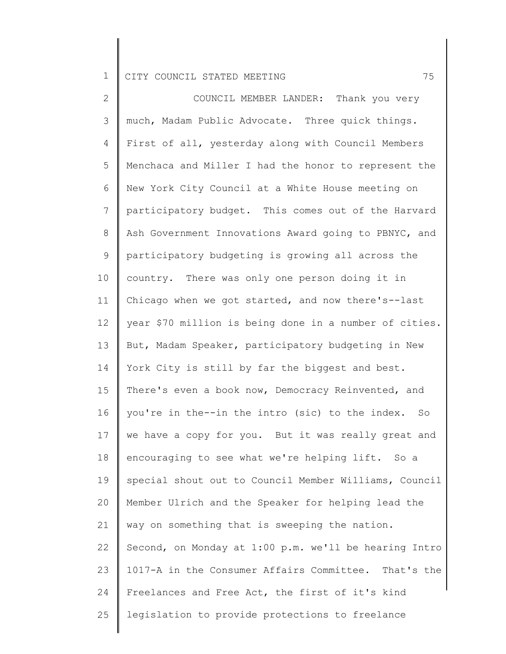2 3 4 5 6 7 8 9 10 11 12 13 14 15 16 17 18 19 20 21 22 23 24 25 COUNCIL MEMBER LANDER: Thank you very much, Madam Public Advocate. Three quick things. First of all, yesterday along with Council Members Menchaca and Miller I had the honor to represent the New York City Council at a White House meeting on participatory budget. This comes out of the Harvard Ash Government Innovations Award going to PBNYC, and participatory budgeting is growing all across the country. There was only one person doing it in Chicago when we got started, and now there's--last year \$70 million is being done in a number of cities. But, Madam Speaker, participatory budgeting in New York City is still by far the biggest and best. There's even a book now, Democracy Reinvented, and you're in the--in the intro (sic) to the index. So we have a copy for you. But it was really great and encouraging to see what we're helping lift. So a special shout out to Council Member Williams, Council Member Ulrich and the Speaker for helping lead the way on something that is sweeping the nation. Second, on Monday at 1:00 p.m. we'll be hearing Intro 1017-A in the Consumer Affairs Committee. That's the Freelances and Free Act, the first of it's kind legislation to provide protections to freelance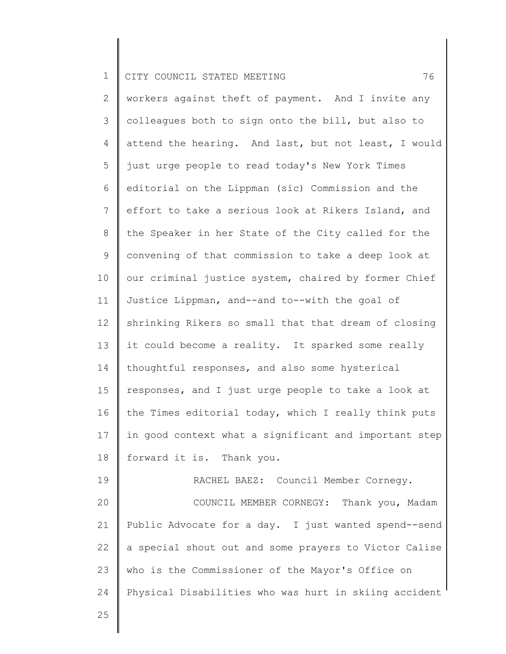2 3 4 5 6 7 8 9 10 11 12 13 14 15 16 17 18 19 20 21 workers against theft of payment. And I invite any colleagues both to sign onto the bill, but also to attend the hearing. And last, but not least, I would just urge people to read today's New York Times editorial on the Lippman (sic) Commission and the effort to take a serious look at Rikers Island, and the Speaker in her State of the City called for the convening of that commission to take a deep look at our criminal justice system, chaired by former Chief Justice Lippman, and--and to--with the goal of shrinking Rikers so small that that dream of closing it could become a reality. It sparked some really thoughtful responses, and also some hysterical responses, and I just urge people to take a look at the Times editorial today, which I really think puts in good context what a significant and important step forward it is. Thank you. RACHEL BAEZ: Council Member Cornegy. COUNCIL MEMBER CORNEGY: Thank you, Madam Public Advocate for a day. I just wanted spend--send

22 23 a special shout out and some prayers to Victor Calise who is the Commissioner of the Mayor's Office on

24 Physical Disabilities who was hurt in skiing accident

25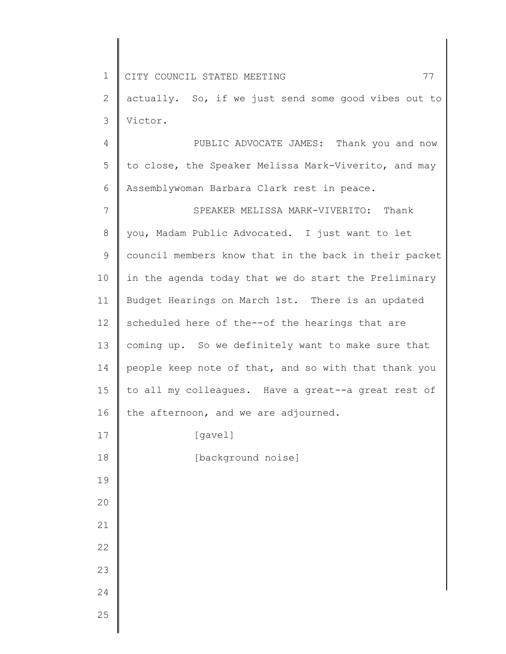2 3 actually. So, if we just send some good vibes out to Victor.

4 5 6 PUBLIC ADVOCATE JAMES: Thank you and now to close, the Speaker Melissa Mark-Viverito, and may Assemblywoman Barbara Clark rest in peace.

7 8 9 10 11 12 13 14 15 16 SPEAKER MELISSA MARK-VIVERITO: Thank you, Madam Public Advocated. I just want to let council members know that in the back in their packet in the agenda today that we do start the Preliminary Budget Hearings on March 1st. There is an updated scheduled here of the--of the hearings that are coming up. So we definitely want to make sure that people keep note of that, and so with that thank you to all my colleagues. Have a great--a great rest of the afternoon, and we are adjourned.

[gavel]

[background noise]

20

19

17

18

21

22

23

24

25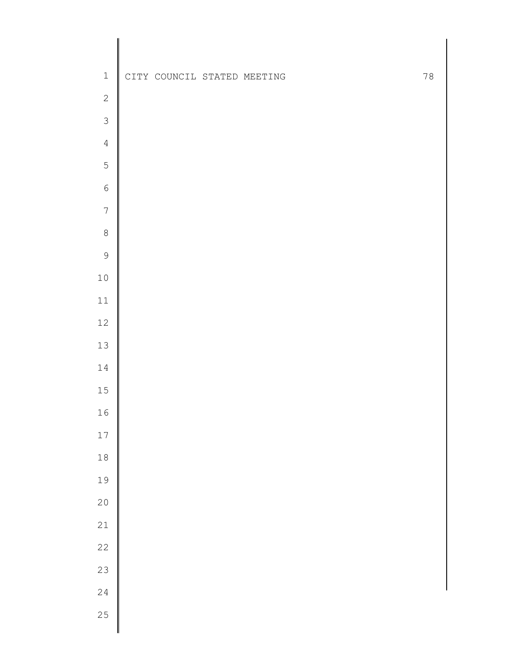| $\mathbf 1$    |  | CITY COUNCIL STATED MEETING | 78 |
|----------------|--|-----------------------------|----|
| $\sqrt{2}$     |  |                             |    |
| $\mathfrak{Z}$ |  |                             |    |
| $\overline{4}$ |  |                             |    |
| $\overline{5}$ |  |                             |    |
| $\sqrt{6}$     |  |                             |    |
| $\overline{7}$ |  |                             |    |
| $\,8\,$        |  |                             |    |
| $\mathcal{G}$  |  |                             |    |
| $10$           |  |                             |    |
| $11\,$         |  |                             |    |
| $12\,$         |  |                             |    |
| $13\,$         |  |                             |    |
| $14\,$         |  |                             |    |
| $15\,$         |  |                             |    |
| $16$           |  |                             |    |
| $17$           |  |                             |    |
| $1\,8$         |  |                             |    |
| 19             |  |                             |    |
| 20             |  |                             |    |
| 21             |  |                             |    |
| 22             |  |                             |    |
| 23             |  |                             |    |
| 24             |  |                             |    |
| 25             |  |                             |    |